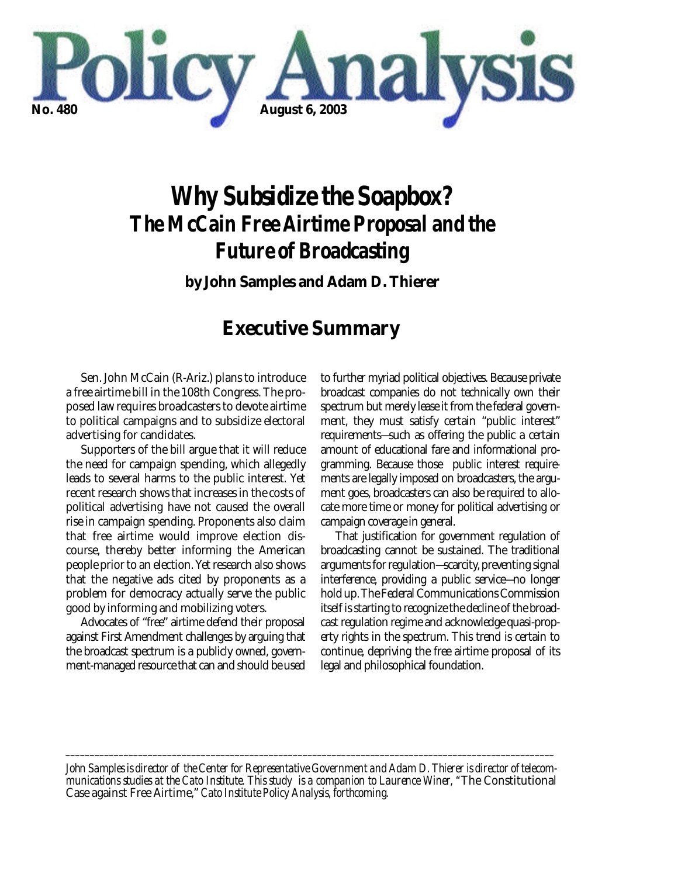

# *Why Subsidize the Soapbox? The McCain Free Airtime Proposal and the Future of Broadcasting*

**by John Samples and Adam D. Thierer**

# **Executive Summary**

Sen. John McCain (R-Ariz.) plans to introduce a free airtime bill in the 108th Congress. The proposed law requires broadcasters to devote airtime to political campaigns and to subsidize electoral advertising for candidates.

Supporters of the bill argue that it will reduce the need for campaign spending, which allegedly leads to several harms to the public interest. Yet recent research shows that increases in the costs of political advertising have not caused the overall rise in campaign spending. Proponents also claim that free airtime would improve election discourse, thereby better informing the American people prior to an election. Yet research also shows that the negative ads cited by proponents as a problem for democracy actually serve the public good by informing and mobilizing voters.

Advocates of "free" airtime defend their proposal against First Amendment challenges by arguing that the broadcast spectrum is a publicly owned, government-managed resource that can and should be used

to further myriad political objectives. Because private broadcast companies do not technically own their spectrum but merely lease it from the federal government, they must satisfy certain "public interest" requirements—such as offering the public a certain amount of educational fare and informational programming. Because those public interest requirements are legally imposed on broadcasters, the argument goes, broadcasters can also be required to allocate more time or money for political advertising or campaign coverage in general.

That justification for government regulation of broadcasting cannot be sustained. The traditional arguments for regulation—scarcity, preventing signal interference, providing a public service—no longer hold up. The Federal Communications Commission itself is starting to recognize the decline of the broadcast regulation regime and acknowledge quasi-property rights in the spectrum. This trend is certain to continue, depriving the free airtime proposal of its legal and philosophical foundation.

*John Samples is director of the Center for Representative Government and Adam D. Thierer is director of telecommunications studies at the Cato Institute. This study is a companion to Laurence Winer, "*The Constitutional Case against Free Airtime," *Cato Institute Policy Analysis, forthcoming.*

*\_\_\_\_\_\_\_\_\_\_\_\_\_\_\_\_\_\_\_\_\_\_\_\_\_\_\_\_\_\_\_\_\_\_\_\_\_\_\_\_\_\_\_\_\_\_\_\_\_\_\_\_\_\_\_\_\_\_\_\_\_\_\_\_\_\_\_\_\_\_\_\_\_\_\_\_\_\_\_\_\_\_\_\_\_\_\_\_\_\_\_\_\_\_\_\_\_\_\_\_\_*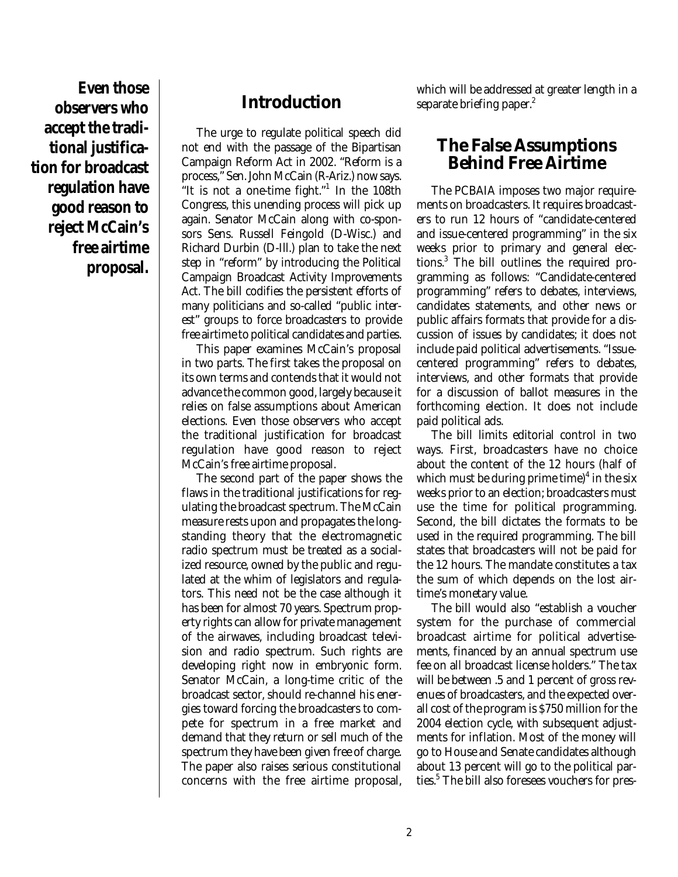**Even those observers who accept the traditional justification for broadcast regulation have good reason to reject McCain's free airtime proposal.**

### **Introduction**

The urge to regulate political speech did not end with the passage of the Bipartisan Campaign Reform Act in 2002. "Reform is a process," Sen. John McCain (R-Ariz.) now says. "It is not a one-time fight."<sup>1</sup> In the 108th Congress, this unending process will pick up again. Senator McCain along with co-sponsors Sens. Russell Feingold (D-Wisc.) and Richard Durbin (D-Ill.) plan to take the next step in "reform" by introducing the Political Campaign Broadcast Activity Improvements Act. The bill codifies the persistent efforts of many politicians and so-called "public interest" groups to force broadcasters to provide free airtime to political candidates and parties.

This paper examines McCain's proposal in two parts. The first takes the proposal on its own terms and contends that it would not advance the common good, largely because it relies on false assumptions about American elections. Even those observers who accept the traditional justification for broadcast regulation have good reason to reject McCain's free airtime proposal.

The second part of the paper shows the flaws in the traditional justifications for regulating the broadcast spectrum. The McCain measure rests upon and propagates the longstanding theory that the electromagnetic radio spectrum must be treated as a socialized resource, owned by the public and regulated at the whim of legislators and regulators. This need not be the case although it has been for almost 70 years. Spectrum property rights can allow for private management of the airwaves, including broadcast television and radio spectrum. Such rights are developing right now in embryonic form. Senator McCain, a long-time critic of the broadcast sector, should re-channel his energies toward forcing the broadcasters to compete for spectrum in a free market and demand that they return or sell much of the spectrum they have been given free of charge. The paper also raises serious constitutional concerns with the free airtime proposal,

which will be addressed at greater length in a separate briefing paper.<sup>2</sup>

### **The False Assumptions Behind Free Airtime**

The PCBAIA imposes two major requirements on broadcasters. It requires broadcasters to run 12 hours of "candidate-centered and issue-centered programming" in the six weeks prior to primary and general elections.3 The bill outlines the required programming as follows: "Candidate-centered programming" refers to debates, interviews, candidates statements, and other news or public affairs formats that provide for a discussion of issues by candidates; it does not include paid political advertisements. "Issuecentered programming" refers to debates, interviews, and other formats that provide for a discussion of ballot measures in the forthcoming election. It does not include paid political ads.

The bill limits editorial control in two ways. First, broadcasters have no choice about the content of the 12 hours (half of which must be during prime time)<sup>4</sup> in the six weeks prior to an election; broadcasters must use the time for political programming. Second, the bill dictates the formats to be used in the required programming. The bill states that broadcasters will not be paid for the 12 hours. The mandate constitutes a tax the sum of which depends on the lost airtime's monetary value.

The bill would also "establish a voucher system for the purchase of commercial broadcast airtime for political advertisements, financed by an annual spectrum use fee on all broadcast license holders." The tax will be between .5 and 1 percent of gross revenues of broadcasters, and the expected overall cost of the program is \$750 million for the 2004 election cycle, with subsequent adjustments for inflation. Most of the money will go to House and Senate candidates although about 13 percent will go to the political parties.<sup>5</sup> The bill also foresees vouchers for pres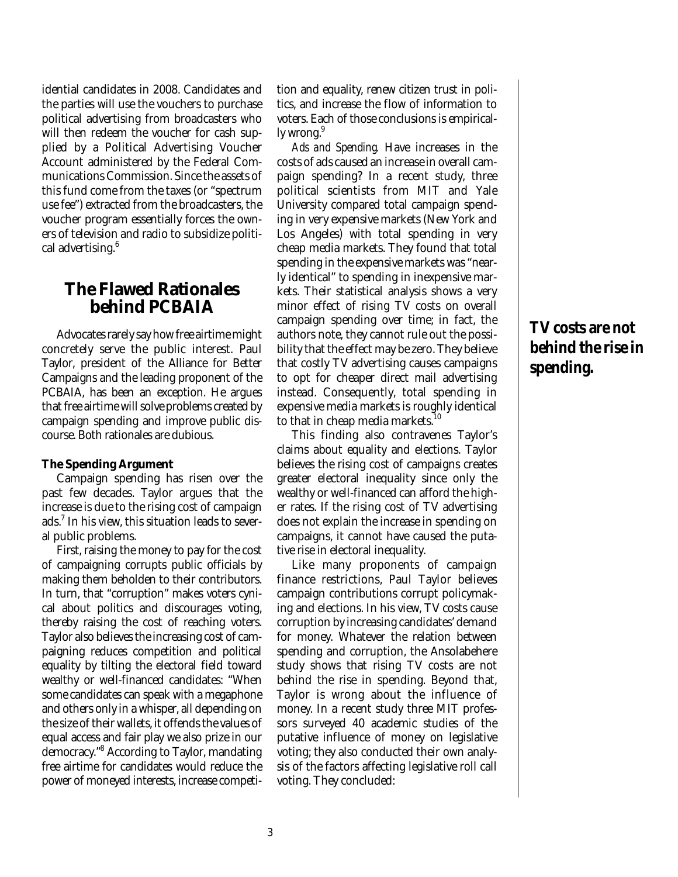idential candidates in 2008. Candidates and the parties will use the vouchers to purchase political advertising from broadcasters who will then redeem the voucher for cash supplied by a Political Advertising Voucher Account administered by the Federal Communications Commission. Since the assets of this fund come from the taxes (or "spectrum use fee") extracted from the broadcasters, the voucher program essentially forces the owners of television and radio to subsidize political advertising.<sup>6</sup>

### **The Flawed Rationales behind PCBAIA**

Advocates rarely say how free airtime might concretely serve the public interest. Paul Taylor, president of the Alliance for Better Campaigns and the leading proponent of the PCBAIA, has been an exception. He argues that free airtime will solve problems created by campaign spending and improve public discourse. Both rationales are dubious.

#### **The Spending Argument**

Campaign spending has risen over the past few decades. Taylor argues that the increase is due to the rising cost of campaign ads.7 In his view, this situation leads to several public problems.

First, raising the money to pay for the cost of campaigning corrupts public officials by making them beholden to their contributors. In turn, that "corruption" makes voters cynical about politics and discourages voting, thereby raising the cost of reaching voters. Taylor also believes the increasing cost of campaigning reduces competition and political equality by tilting the electoral field toward wealthy or well-financed candidates: "When some candidates can speak with a megaphone and others only in a whisper, all depending on the size of their wallets, it offends the values of equal access and fair play we also prize in our democracy."8 According to Taylor, mandating free airtime for candidates would reduce the power of moneyed interests, increase competition and equality, renew citizen trust in politics, and increase the flow of information to voters. Each of those conclusions is empirically wrong.<sup>9</sup>

*Ads and Spending.* Have increases in the costs of ads caused an increase in overall campaign spending? In a recent study, three political scientists from MIT and Yale University compared total campaign spending in very expensive markets (New York and Los Angeles) with total spending in very cheap media markets. They found that total spending in the expensive markets was "nearly identical" to spending in inexpensive markets. Their statistical analysis shows a very minor effect of rising TV costs on overall campaign spending over time; in fact, the authors note, they cannot rule out the possibility that the effect may be zero. They believe that costly TV advertising causes campaigns to opt for cheaper direct mail advertising instead. Consequently, total spending in expensive media markets is roughly identical to that in cheap media markets.<sup>1</sup>

This finding also contravenes Taylor's claims about equality and elections. Taylor believes the rising cost of campaigns creates greater electoral inequality since only the wealthy or well-financed can afford the higher rates. If the rising cost of TV advertising does not explain the increase in spending on campaigns, it cannot have caused the putative rise in electoral inequality.

Like many proponents of campaign finance restrictions, Paul Taylor believes campaign contributions corrupt policymaking and elections. In his view, TV costs cause corruption by increasing candidates' demand for money. Whatever the relation between spending and corruption, the Ansolabehere study shows that rising TV costs are not behind the rise in spending. Beyond that, Taylor is wrong about the influence of money. In a recent study three MIT professors surveyed 40 academic studies of the putative influence of money on legislative voting; they also conducted their own analysis of the factors affecting legislative roll call voting. They concluded:

## **TV costs are not behind the rise in spending.**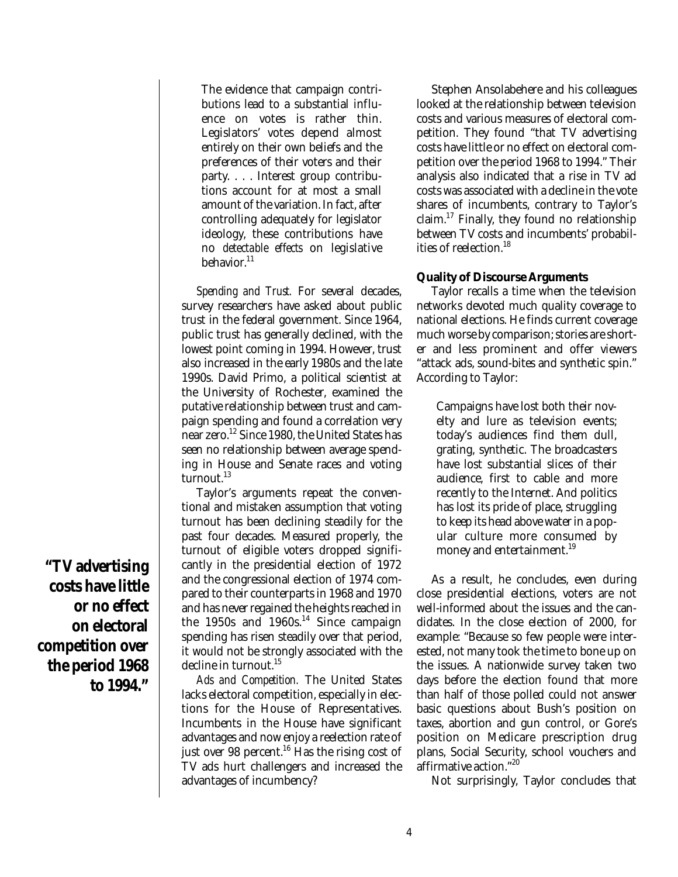The evidence that campaign contributions lead to a substantial influence on votes is rather thin. Legislators' votes depend almost entirely on their own beliefs and the preferences of their voters and their party. . . . Interest group contributions account for at most a small amount of the variation. In fact, after controlling adequately for legislator ideology, these contributions have no *detectable effects* on legislative behavior. $11$ 

*Spending and Trust.* For several decades, survey researchers have asked about public trust in the federal government. Since 1964, public trust has generally declined, with the lowest point coming in 1994. However, trust also increased in the early 1980s and the late 1990s. David Primo, a political scientist at the University of Rochester, examined the putative relationship between trust and campaign spending and found a correlation very near zero.<sup>12</sup> Since 1980, the United States has seen no relationship between average spending in House and Senate races and voting turnout.<sup>13</sup>

Taylor's arguments repeat the conventional and mistaken assumption that voting turnout has been declining steadily for the past four decades. Measured properly, the turnout of eligible voters dropped significantly in the presidential election of 1972 and the congressional election of 1974 compared to their counterparts in 1968 and 1970 and has never regained the heights reached in the 1950s and  $1960s$ .<sup>14</sup> Since campaign spending has risen steadily over that period, it would not be strongly associated with the decline in turnout.<sup>15</sup>

*Ads and Competition.* The United States lacks electoral competition, especially in elections for the House of Representatives. Incumbents in the House have significant advantages and now enjoy a reelection rate of just over 98 percent.<sup>16</sup> Has the rising cost of TV ads hurt challengers and increased the advantages of incumbency?

Stephen Ansolabehere and his colleagues looked at the relationship between television costs and various measures of electoral competition. They found "that TV advertising costs have little or no effect on electoral competition over the period 1968 to 1994." Their analysis also indicated that a rise in TV ad costs was associated with a decline in the vote shares of incumbents, contrary to Taylor's claim.17 Finally, they found no relationship between TV costs and incumbents' probabilities of reelection.<sup>18</sup>

#### **Quality of Discourse Arguments**

Taylor recalls a time when the television networks devoted much quality coverage to national elections. He finds current coverage much worse by comparison; stories are shorter and less prominent and offer viewers "attack ads, sound-bites and synthetic spin." According to Taylor:

Campaigns have lost both their novelty and lure as television events; today's audiences find them dull, grating, synthetic. The broadcasters have lost substantial slices of their audience, first to cable and more recently to the Internet. And politics has lost its pride of place, struggling to keep its head above water in a popular culture more consumed by money and entertainment.<sup>19</sup>

As a result, he concludes, even during close presidential elections, voters are not well-informed about the issues and the candidates. In the close election of 2000, for example: "Because so few people were interested, not many took the time to bone up on the issues. A nationwide survey taken two days before the election found that more than half of those polled could not answer basic questions about Bush's position on taxes, abortion and gun control, or Gore's position on Medicare prescription drug plans, Social Security, school vouchers and affirmative action."<sup>20</sup>

Not surprisingly, Taylor concludes that

**"TV advertising costs have little or no effect on electoral competition over the period 1968 to 1994."**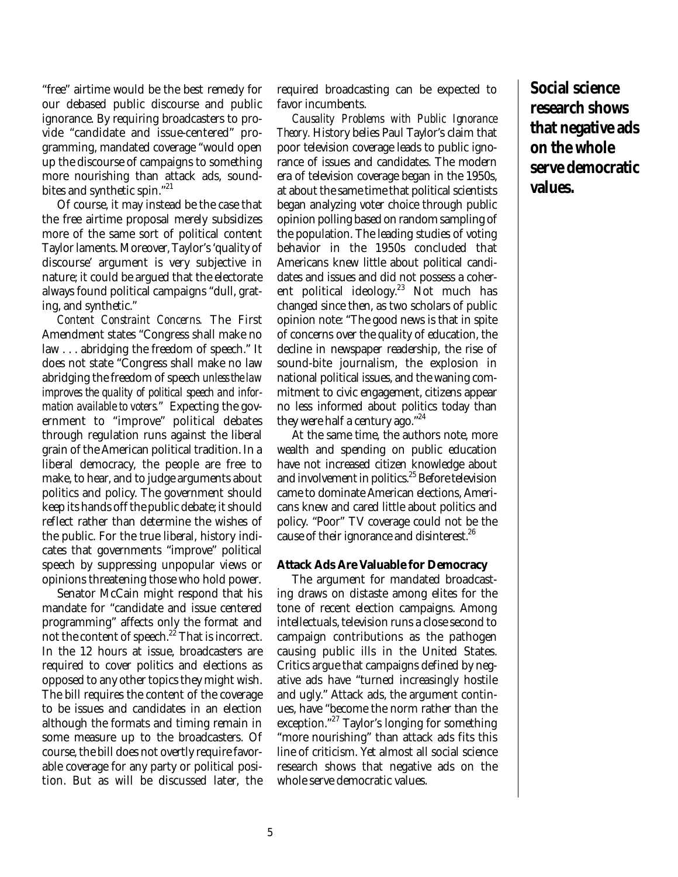"free" airtime would be the best remedy for our debased public discourse and public ignorance. By requiring broadcasters to provide "candidate and issue-centered" programming, mandated coverage "would open up the discourse of campaigns to something more nourishing than attack ads, soundbites and synthetic spin."21

Of course, it may instead be the case that the free airtime proposal merely subsidizes more of the same sort of political content Taylor laments. Moreover, Taylor's 'quality of discourse' argument is very subjective in nature; it could be argued that the electorate always found political campaigns "dull, grating, and synthetic."

*Content Constraint Concerns.* The First Amendment states "Congress shall make no law . . . abridging the freedom of speech." It does not state "Congress shall make no law abridging the freedom of speech *unless the law improves the quality of political speech and information available to voters.*" Expecting the government to "improve" political debates through regulation runs against the liberal grain of the American political tradition. In a liberal democracy, the people are free to make, to hear, and to judge arguments about politics and policy. The government should keep its hands off the public debate; it should reflect rather than determine the wishes of the public. For the true liberal, history indicates that governments "improve" political speech by suppressing unpopular views or opinions threatening those who hold power.

Senator McCain might respond that his mandate for "candidate and issue centered programming" affects only the format and not the content of speech.<sup>22</sup> That is incorrect. In the 12 hours at issue, broadcasters are required to cover politics and elections as opposed to any other topics they might wish. The bill requires the content of the coverage to be issues and candidates in an election although the formats and timing remain in some measure up to the broadcasters. Of course, the bill does not overtly require favorable coverage for any party or political position. But as will be discussed later, the

required broadcasting can be expected to favor incumbents.

*Causality Problems with Public Ignorance Theory.* History belies Paul Taylor's claim that poor television coverage leads to public ignorance of issues and candidates. The modern era of television coverage began in the 1950s, at about the same time that political scientists began analyzing voter choice through public opinion polling based on random sampling of the population. The leading studies of voting behavior in the 1950s concluded that Americans knew little about political candidates and issues and did not possess a coherent political ideology.<sup>23</sup> Not much has changed since then, as two scholars of public opinion note: "The good news is that in spite of concerns over the quality of education, the decline in newspaper readership, the rise of sound-bite journalism, the explosion in national political issues, and the waning commitment to civic engagement, citizens appear no less informed about politics today than they were half a century ago."<sup>24</sup>

At the same time, the authors note, more wealth and spending on public education have not increased citizen knowledge about and involvement in politics.<sup>25</sup> Before television came to dominate American elections, Americans knew and cared little about politics and policy. "Poor" TV coverage could not be the cause of their ignorance and disinterest.<sup>26</sup>

#### **Attack Ads Are Valuable for Democracy**

The argument for mandated broadcasting draws on distaste among elites for the tone of recent election campaigns. Among intellectuals, television runs a close second to campaign contributions as the pathogen causing public ills in the United States. Critics argue that campaigns defined by negative ads have "turned increasingly hostile and ugly." Attack ads, the argument continues, have "become the norm rather than the exception."27 Taylor's longing for something "more nourishing" than attack ads fits this line of criticism. Yet almost all social science research shows that negative ads on the whole serve democratic values.

**Social science research shows that negative ads on the whole serve democratic values.**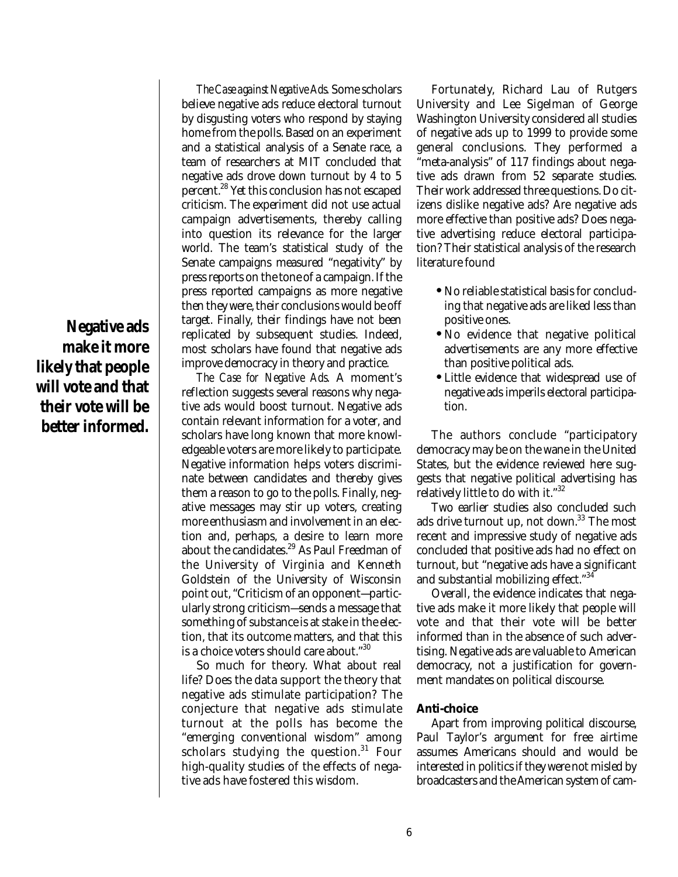**Negative ads make it more likely that people will vote and that their vote will be better informed.**

*The Case against Negative Ads.* Some scholars believe negative ads reduce electoral turnout by disgusting voters who respond by staying home from the polls. Based on an experiment and a statistical analysis of a Senate race, a team of researchers at MIT concluded that negative ads drove down turnout by 4 to 5 percent.28 Yet this conclusion has not escaped criticism. The experiment did not use actual campaign advertisements, thereby calling into question its relevance for the larger world. The team's statistical study of the Senate campaigns measured "negativity" by press reports on the tone of a campaign. If the press reported campaigns as more negative then they were, their conclusions would be off target. Finally, their findings have not been replicated by subsequent studies. Indeed, most scholars have found that negative ads improve democracy in theory and practice.

*The Case for Negative Ads.* A moment's reflection suggests several reasons why negative ads would boost turnout. Negative ads contain relevant information for a voter, and scholars have long known that more knowledgeable voters are more likely to participate. Negative information helps voters discriminate between candidates and thereby gives them a reason to go to the polls. Finally, negative messages may stir up voters, creating more enthusiasm and involvement in an election and, perhaps, a desire to learn more about the candidates.<sup>29</sup> As Paul Freedman of the University of Virginia and Kenneth Goldstein of the University of Wisconsin point out, "Criticism of an opponent—particularly strong criticism—sends a message that something of substance is at stake in the election, that its outcome matters, and that this is a choice voters should care about."30

So much for theory. What about real life? Does the data support the theory that negative ads stimulate participation? The conjecture that negative ads stimulate turnout at the polls has become the "emerging conventional wisdom" among scholars studying the question. $31$  Four high-quality studies of the effects of negative ads have fostered this wisdom.

Fortunately, Richard Lau of Rutgers University and Lee Sigelman of George Washington University considered all studies of negative ads up to 1999 to provide some general conclusions. They performed a "meta-analysis" of 117 findings about negative ads drawn from 52 separate studies. Their work addressed three questions. Do citizens dislike negative ads? Are negative ads more effective than positive ads? Does negative advertising reduce electoral participation? Their statistical analysis of the research literature found

- **•** No reliable statistical basis for concluding that negative ads are liked less than positive ones.
- **•** No evidence that negative political advertisements are any more effective than positive political ads.
- **•** Little evidence that widespread use of negative ads imperils electoral participation.

The authors conclude "participatory democracy may be on the wane in the United States, but the evidence reviewed here suggests that negative political advertising has relatively little to do with it."32

Two earlier studies also concluded such ads drive turnout up, not down.<sup>33</sup> The most recent and impressive study of negative ads concluded that positive ads had no effect on turnout, but "negative ads have a significant and substantial mobilizing effect."34

Overall, the evidence indicates that negative ads make it more likely that people will vote and that their vote will be better informed than in the absence of such advertising. Negative ads are valuable to American democracy, not a justification for government mandates on political discourse.

#### **Anti-choice**

Apart from improving political discourse, Paul Taylor's argument for free airtime assumes Americans should and would be interested in politics if they were not misled by broadcasters and the American system of cam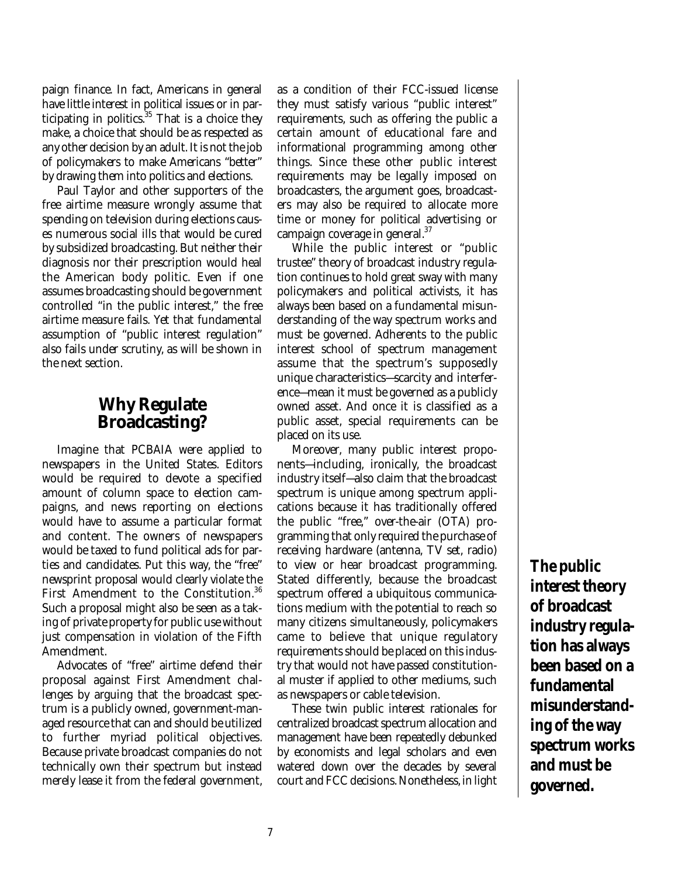paign finance. In fact, Americans in general have little interest in political issues or in participating in politics. $35$  That is a choice they make, a choice that should be as respected as any other decision by an adult. It is not the job of policymakers to make Americans "better" by drawing them into politics and elections.

Paul Taylor and other supporters of the free airtime measure wrongly assume that spending on television during elections causes numerous social ills that would be cured by subsidized broadcasting. But neither their diagnosis nor their prescription would heal the American body politic. Even if one assumes broadcasting should be government controlled "in the public interest," the free airtime measure fails. Yet that fundamental assumption of "public interest regulation" also fails under scrutiny, as will be shown in the next section.

### **Why Regulate Broadcasting?**

Imagine that PCBAIA were applied to newspapers in the United States. Editors would be required to devote a specified amount of column space to election campaigns, and news reporting on elections would have to assume a particular format and content. The owners of newspapers would be taxed to fund political ads for parties and candidates. Put this way, the "free" newsprint proposal would clearly violate the First Amendment to the Constitution.<sup>36</sup> Such a proposal might also be seen as a taking of private property for public use without just compensation in violation of the Fifth Amendment.

Advocates of "free" airtime defend their proposal against First Amendment challenges by arguing that the broadcast spectrum is a publicly owned, government-managed resource that can and should be utilized to further myriad political objectives. Because private broadcast companies do not technically own their spectrum but instead merely lease it from the federal government, as a condition of their FCC-issued license they must satisfy various "public interest" requirements, such as offering the public a certain amount of educational fare and informational programming among other things. Since these other public interest requirements may be legally imposed on broadcasters, the argument goes, broadcasters may also be required to allocate more time or money for political advertising or campaign coverage in general.<sup>37</sup>

While the public interest or "public trustee" theory of broadcast industry regulation continues to hold great sway with many policymakers and political activists, it has always been based on a fundamental misunderstanding of the way spectrum works and must be governed. Adherents to the public interest school of spectrum management assume that the spectrum's supposedly unique characteristics—scarcity and interference—mean it must be governed as a publicly owned asset. And once it is classified as a public asset, special requirements can be placed on its use.

Moreover, many public interest proponents—including, ironically, the broadcast industry itself—also claim that the broadcast spectrum is unique among spectrum applications because it has traditionally offered the public "free," over-the-air (OTA) programming that only required the purchase of receiving hardware (antenna, TV set, radio) to view or hear broadcast programming. Stated differently, because the broadcast spectrum offered a ubiquitous communications medium with the potential to reach so many citizens simultaneously, policymakers came to believe that unique regulatory requirements should be placed on this industry that would not have passed constitutional muster if applied to other mediums, such as newspapers or cable television.

These twin public interest rationales for centralized broadcast spectrum allocation and management have been repeatedly debunked by economists and legal scholars and even watered down over the decades by several court and FCC decisions. Nonetheless, in light **The public interest theory of broadcast industry regulation has always been based on a fundamental misunderstanding of the way spectrum works and must be governed.**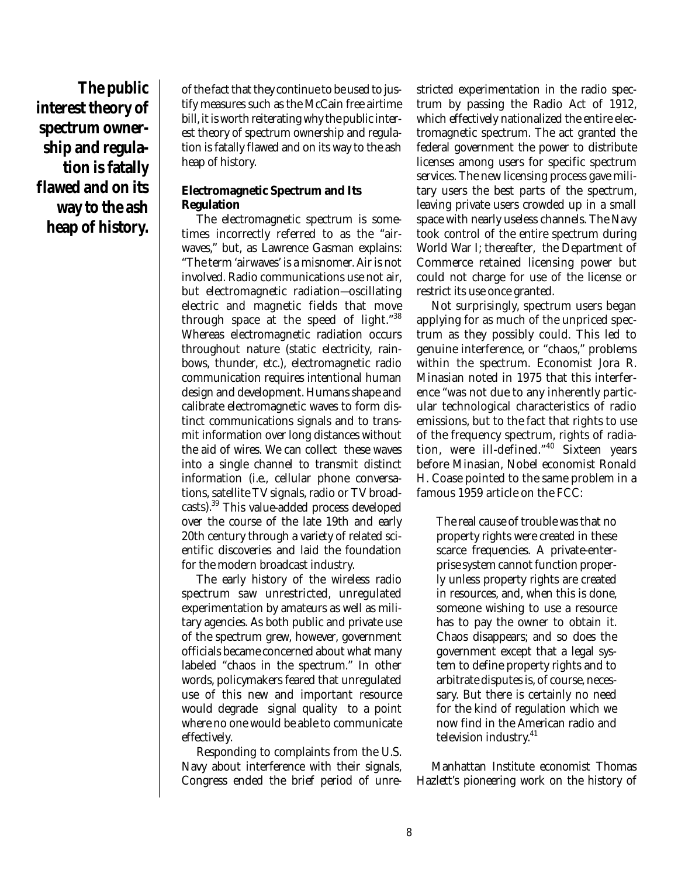**The public interest theory of spectrum ownership and regulation is fatally flawed and on its way to the ash heap of history.**

of the fact that they continue to be used to justify measures such as the McCain free airtime bill, it is worth reiterating why the public interest theory of spectrum ownership and regulation is fatally flawed and on its way to the ash heap of history.

### **Electromagnetic Spectrum and Its Regulation**

The electromagnetic spectrum is sometimes incorrectly referred to as the "airwaves," but, as Lawrence Gasman explains: "The term 'airwaves' is a misnomer. Air is not involved. Radio communications use not air, but electromagnetic radiation—oscillating electric and magnetic fields that move through space at the speed of light."<sup>38</sup> Whereas electromagnetic radiation occurs throughout nature (static electricity, rainbows, thunder, etc.), electromagnetic radio communication requires intentional human design and development. Humans shape and calibrate electromagnetic waves to form distinct communications signals and to transmit information over long distances without the aid of wires. We can collect these waves into a single channel to transmit distinct information (i.e., cellular phone conversations, satellite TV signals, radio or TV broadcasts).39 This value-added process developed over the course of the late 19th and early 20th century through a variety of related scientific discoveries and laid the foundation for the modern broadcast industry.

The early history of the wireless radio spectrum saw unrestricted, unregulated experimentation by amateurs as well as military agencies. As both public and private use of the spectrum grew, however, government officials became concerned about what many labeled "chaos in the spectrum." In other words, policymakers feared that unregulated use of this new and important resource would degrade signal quality to a point where no one would be able to communicate effectively.

Responding to complaints from the U.S. Navy about interference with their signals, Congress ended the brief period of unrestricted experimentation in the radio spectrum by passing the Radio Act of 1912, which effectively nationalized the entire electromagnetic spectrum. The act granted the federal government the power to distribute licenses among users for specific spectrum services. The new licensing process gave military users the best parts of the spectrum, leaving private users crowded up in a small space with nearly useless channels. The Navy took control of the entire spectrum during World War I; thereafter, the Department of Commerce retained licensing power but could not charge for use of the license or restrict its use once granted.

Not surprisingly, spectrum users began applying for as much of the unpriced spectrum as they possibly could. This led to genuine interference, or "chaos," problems within the spectrum. Economist Jora R. Minasian noted in 1975 that this interference "was not due to any inherently particular technological characteristics of radio emissions, but to the fact that rights to use of the frequency spectrum, rights of radiation, were ill-defined."<sup>40</sup> Sixteen years before Minasian, Nobel economist Ronald H. Coase pointed to the same problem in a famous 1959 article on the FCC:

The real cause of trouble was that no property rights were created in these scarce frequencies. A private-enterprise system cannot function properly unless property rights are created in resources, and, when this is done, someone wishing to use a resource has to pay the owner to obtain it. Chaos disappears; and so does the government except that a legal system to define property rights and to arbitrate disputes is, of course, necessary. But there is certainly no need for the kind of regulation which we now find in the American radio and television industry.<sup>41</sup>

Manhattan Institute economist Thomas Hazlett's pioneering work on the history of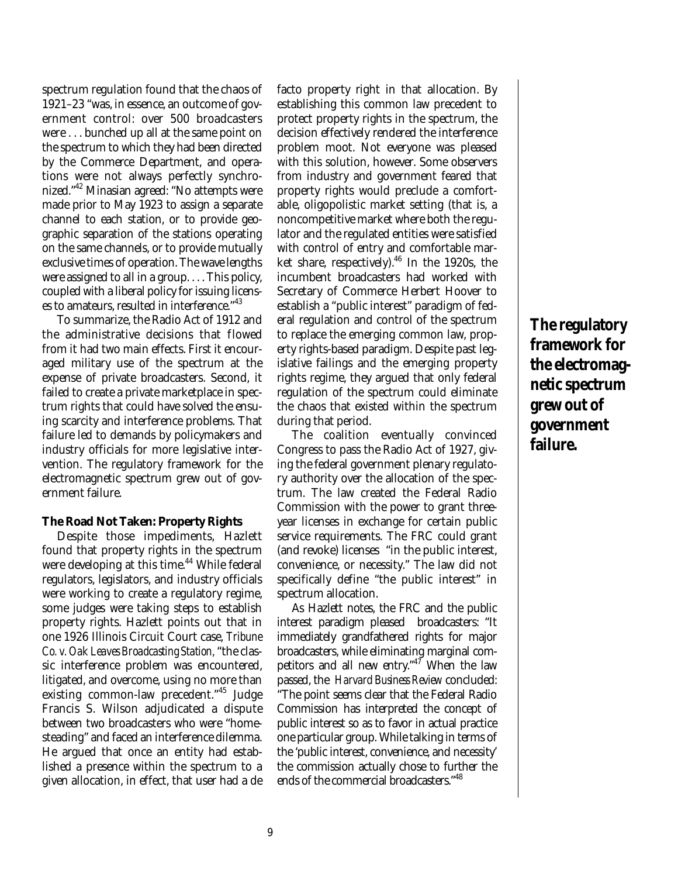spectrum regulation found that the chaos of 1921–23 "was, in essence, an outcome of government control: over 500 broadcasters were . . . bunched up all at the same point on the spectrum to which they had been directed by the Commerce Department, and operations were not always perfectly synchronized."42 Minasian agreed: "No attempts were made prior to May 1923 to assign a separate channel to each station, or to provide geographic separation of the stations operating on the same channels, or to provide mutually exclusive times of operation. The wave lengths were assigned to all in a group. . . . This policy, coupled with a liberal policy for issuing licenses to amateurs, resulted in interference."43

To summarize, the Radio Act of 1912 and the administrative decisions that flowed from it had two main effects. First it encouraged military use of the spectrum at the expense of private broadcasters. Second, it failed to create a private marketplace in spectrum rights that could have solved the ensuing scarcity and interference problems. That failure led to demands by policymakers and industry officials for more legislative intervention. The regulatory framework for the electromagnetic spectrum grew out of government failure.

#### **The Road Not Taken: Property Rights**

Despite those impediments, Hazlett found that property rights in the spectrum were developing at this time.<sup>44</sup> While federal regulators, legislators, and industry officials were working to create a regulatory regime, some judges were taking steps to establish property rights. Hazlett points out that in one 1926 Illinois Circuit Court case, *Tribune Co. v. Oak Leaves Broadcasting Station,* "the classic interference problem was encountered, litigated, and overcome, using no more than existing common-law precedent."45 Judge Francis S. Wilson adjudicated a dispute between two broadcasters who were "homesteading" and faced an interference dilemma. He argued that once an entity had established a presence within the spectrum to a given allocation, in effect, that user had a de

facto property right in that allocation. By establishing this common law precedent to protect property rights in the spectrum, the decision effectively rendered the interference problem moot. Not everyone was pleased with this solution, however. Some observers from industry and government feared that property rights would preclude a comfortable, oligopolistic market setting (that is, a noncompetitive market where both the regulator and the regulated entities were satisfied with control of entry and comfortable market share, respectively). $^{46}$  In the 1920s, the incumbent broadcasters had worked with Secretary of Commerce Herbert Hoover to establish a "public interest" paradigm of federal regulation and control of the spectrum to replace the emerging common law, property rights-based paradigm. Despite past legislative failings and the emerging property rights regime, they argued that only federal regulation of the spectrum could eliminate the chaos that existed within the spectrum during that period.

The coalition eventually convinced Congress to pass the Radio Act of 1927, giving the federal government plenary regulatory authority over the allocation of the spectrum. The law created the Federal Radio Commission with the power to grant threeyear licenses in exchange for certain public service requirements. The FRC could grant (and revoke) licenses "in the public interest, convenience, or necessity." The law did not specifically define "the public interest" in spectrum allocation.

As Hazlett notes, the FRC and the public interest paradigm pleased broadcasters: "It immediately grandfathered rights for major broadcasters, while eliminating marginal competitors and all new entry."47 When the law passed, the *Harvard Business Review* concluded: "The point seems clear that the Federal Radio Commission has interpreted the concept of public interest so as to favor in actual practice one particular group. While talking in terms of the 'public interest, convenience, and necessity' the commission actually chose to further the ends of the commercial broadcasters."<sup>48</sup>

**The regulatory framework for the electromagnetic spectrum grew out of government failure.**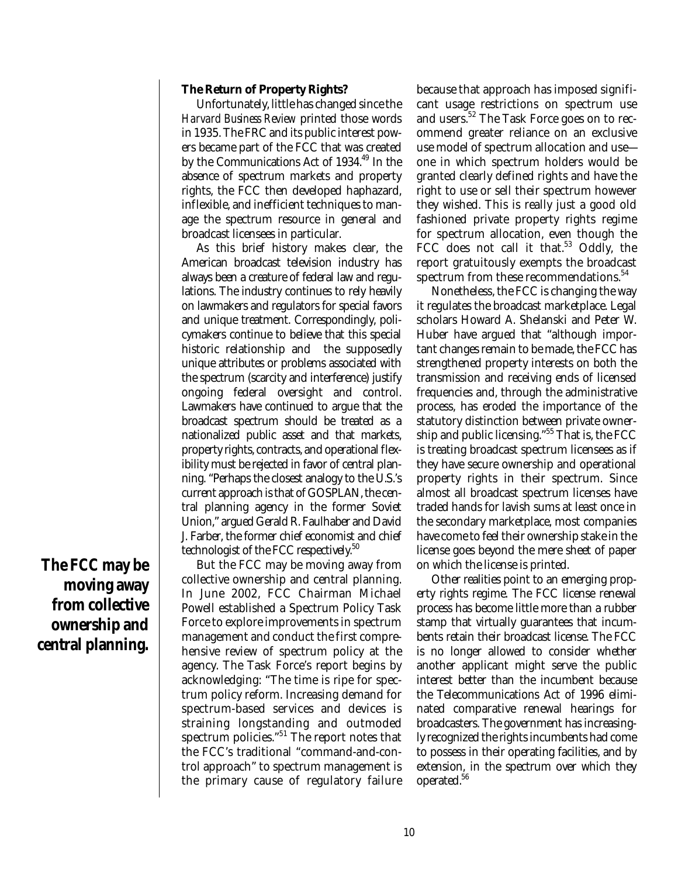### **The Return of Property Rights?**

Unfortunately, little has changed since the *Harvard Business Review* printed those words in 1935. The FRC and its public interest powers became part of the FCC that was created by the Communications Act of 1934.49 In the absence of spectrum markets and property rights, the FCC then developed haphazard, inflexible, and inefficient techniques to manage the spectrum resource in general and broadcast licensees in particular.

As this brief history makes clear, the American broadcast television industry has always been a creature of federal law and regulations. The industry continues to rely heavily on lawmakers and regulators for special favors and unique treatment. Correspondingly, policymakers continue to believe that this special historic relationship and the supposedly unique attributes or problems associated with the spectrum (scarcity and interference) justify ongoing federal oversight and control. Lawmakers have continued to argue that the broadcast spectrum should be treated as a nationalized public asset and that markets, property rights, contracts, and operational flexibility must be rejected in favor of central planning. "Perhaps the closest analogy to the U.S.'s current approach is that of GOSPLAN, the central planning agency in the former Soviet Union," argued Gerald R. Faulhaber and David J. Farber, the former chief economist and chief technologist of the FCC respectively.<sup>50</sup>

But the FCC may be moving away from collective ownership and central planning. In June 2002, FCC Chairman Michael Powell established a Spectrum Policy Task Force to explore improvements in spectrum management and conduct the first comprehensive review of spectrum policy at the agency. The Task Force's report begins by acknowledging: "The time is ripe for spectrum policy reform. Increasing demand for spectrum-based services and devices is straining longstanding and outmoded spectrum policies."<sup>51</sup> The report notes that the FCC's traditional "command-and-control approach" to spectrum management is the primary cause of regulatory failure

because that approach has imposed significant usage restrictions on spectrum use and users.<sup>52</sup> The Task Force goes on to recommend greater reliance on an exclusive use model of spectrum allocation and use one in which spectrum holders would be granted clearly defined rights and have the right to use or sell their spectrum however they wished. This is really just a good old fashioned private property rights regime for spectrum allocation, even though the FCC does not call it that.<sup>53</sup> Oddly, the report gratuitously exempts the broadcast spectrum from these recommendations.<sup>54</sup>

Nonetheless, the FCC is changing the way it regulates the broadcast marketplace. Legal scholars Howard A. Shelanski and Peter W. Huber have argued that "although important changes remain to be made, the FCC has strengthened property interests on both the transmission and receiving ends of licensed frequencies and, through the administrative process, has eroded the importance of the statutory distinction between private ownership and public licensing."55 That is, the FCC is treating broadcast spectrum licensees as if they have secure ownership and operational property rights in their spectrum. Since almost all broadcast spectrum licenses have traded hands for lavish sums at least once in the secondary marketplace, most companies have come to feel their ownership stake in the license goes beyond the mere sheet of paper on which the license is printed.

Other realities point to an emerging property rights regime. The FCC license renewal process has become little more than a rubber stamp that virtually guarantees that incumbents retain their broadcast license. The FCC is no longer allowed to consider whether another applicant might serve the public interest better than the incumbent because the Telecommunications Act of 1996 eliminated comparative renewal hearings for broadcasters. The government has increasingly recognized the rights incumbents had come to possess in their operating facilities, and by extension, in the spectrum over which they operated.<sup>56</sup>

**The FCC may be moving away from collective ownership and central planning.**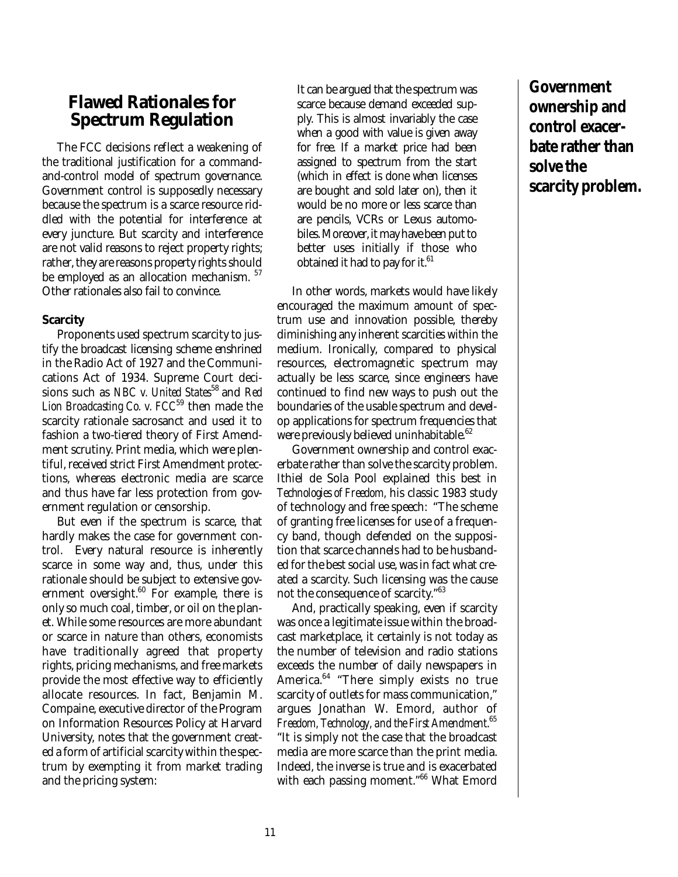### **Flawed Rationales for Spectrum Regulation**

The FCC decisions reflect a weakening of the traditional justification for a commandand-control model of spectrum governance. Government control is supposedly necessary because the spectrum is a scarce resource riddled with the potential for interference at every juncture. But scarcity and interference are not valid reasons to reject property rights; rather, they are reasons property rights should be employed as an allocation mechanism. <sup>57</sup> Other rationales also fail to convince.

#### **Scarcity**

Proponents used spectrum scarcity to justify the broadcast licensing scheme enshrined in the Radio Act of 1927 and the Communications Act of 1934. Supreme Court decisions such as *NBC v. United States*<sup>58</sup> and *Red* Lion Broadcasting Co. v. FCC<sup>59</sup> then made the scarcity rationale sacrosanct and used it to fashion a two-tiered theory of First Amendment scrutiny. Print media, which were plentiful, received strict First Amendment protections, whereas electronic media are scarce and thus have far less protection from government regulation or censorship.

But even if the spectrum is scarce, that hardly makes the case for government control. Every natural resource is inherently scarce in some way and, thus, under this rationale should be subject to extensive government oversight. $60$  For example, there is only so much coal, timber, or oil on the planet. While some resources are more abundant or scarce in nature than others, economists have traditionally agreed that property rights, pricing mechanisms, and free markets provide the most effective way to efficiently allocate resources. In fact, Benjamin M. Compaine, executive director of the Program on Information Resources Policy at Harvard University, notes that the government created a form of artificial scarcity within the spectrum by exempting it from market trading and the pricing system:

It can be argued that the spectrum was scarce because demand exceeded supply. This is almost invariably the case when a good with value is given away for free. If a market price had been assigned to spectrum from the start (which in effect is done when licenses are bought and sold later on), then it would be no more or less scarce than are pencils, VCRs or Lexus automobiles. Moreover, it may have been put to better uses initially if those who obtained it had to pay for it. $61$ 

In other words, markets would have likely encouraged the maximum amount of spectrum use and innovation possible, thereby diminishing any inherent scarcities within the medium. Ironically, compared to physical resources, electromagnetic spectrum may actually be less scarce, since engineers have continued to find new ways to push out the boundaries of the usable spectrum and develop applications for spectrum frequencies that were previously believed uninhabitable.<sup>62</sup>

Government ownership and control exacerbate rather than solve the scarcity problem. Ithiel de Sola Pool explained this best in *Technologies of Freedom,* his classic 1983 study of technology and free speech: "The scheme of granting free licenses for use of a frequency band, though defended on the supposition that scarce channels had to be husbanded for the best social use, was in fact what created a scarcity. Such licensing was the cause not the consequence of scarcity."<sup>63</sup>

And, practically speaking, even if scarcity was once a legitimate issue within the broadcast marketplace, it certainly is not today as the number of television and radio stations exceeds the number of daily newspapers in America.<sup>64</sup> "There simply exists no true scarcity of outlets for mass communication," argues Jonathan W. Emord, author of *Freedom, Technology, and the First Amendment*. 65 "It is simply not the case that the broadcast media are more scarce than the print media. Indeed, the inverse is true and is exacerbated with each passing moment."<sup>66</sup> What Emord

**Government ownership and control exacerbate rather than solve the scarcity problem.**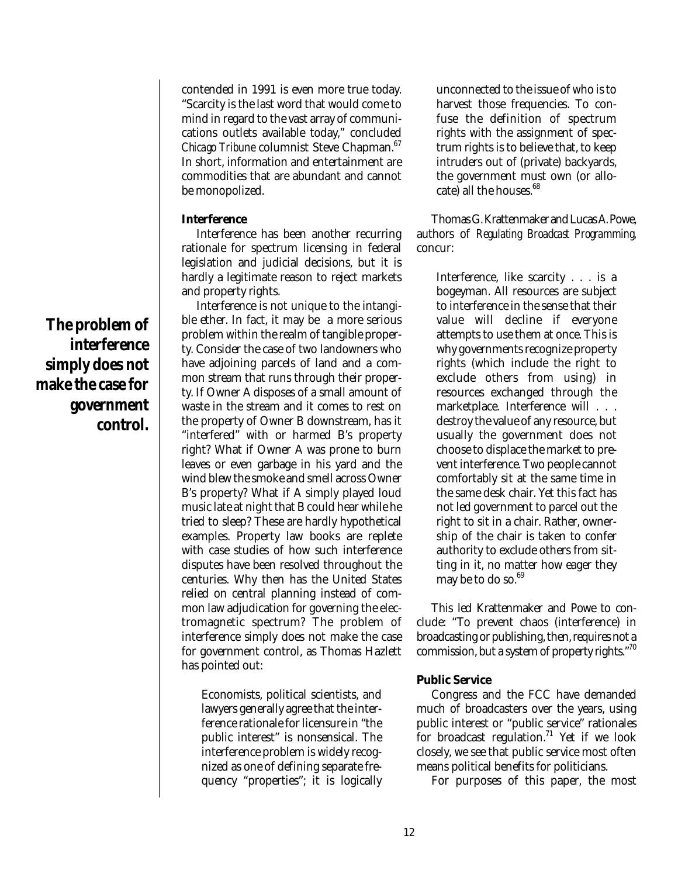contended in 1991 is even more true today. "Scarcity is the last word that would come to mind in regard to the vast array of communications outlets available today," concluded *Chicago Tribune* columnist Steve Chapman.<sup>67</sup> In short, information and entertainment are commodities that are abundant and cannot be monopolized.

#### **Interference**

Interference has been another recurring rationale for spectrum licensing in federal legislation and judicial decisions, but it is hardly a legitimate reason to reject markets and property rights.

Interference is not unique to the intangible ether. In fact, it may be a more serious problem within the realm of tangible property. Consider the case of two landowners who have adjoining parcels of land and a common stream that runs through their property. If Owner A disposes of a small amount of waste in the stream and it comes to rest on the property of Owner B downstream, has it "interfered" with or harmed B's property right? What if Owner A was prone to burn leaves or even garbage in his yard and the wind blew the smoke and smell across Owner B's property? What if A simply played loud music late at night that B could hear while he tried to sleep? These are hardly hypothetical examples. Property law books are replete with case studies of how such interference disputes have been resolved throughout the centuries. Why then has the United States relied on central planning instead of common law adjudication for governing the electromagnetic spectrum? The problem of interference simply does not make the case for government control, as Thomas Hazlett has pointed out:

Economists, political scientists, and lawyers generally agree that the interference rationale for licensure in "the public interest" is nonsensical. The interference problem is widely recognized as one of defining separate frequency "properties"; it is logically unconnected to the issue of who is to harvest those frequencies. To confuse the definition of spectrum rights with the assignment of spectrum rights is to believe that, to keep intruders out of (private) backyards, the government must own (or allocate) all the houses.<sup>68</sup>

Thomas G. Krattenmaker and Lucas A. Powe, authors of *Regulating Broadcast Programming,* concur:

Interference, like scarcity . . . is a bogeyman. All resources are subject to interference in the sense that their value will decline if everyone attempts to use them at once. This is why governments recognize property rights (which include the right to exclude others from using) in resources exchanged through the marketplace. Interference will . . . destroy the value of any resource, but usually the government does not choose to displace the market to prevent interference. Two people cannot comfortably sit at the same time in the same desk chair. Yet this fact has not led government to parcel out the right to sit in a chair. Rather, ownership of the chair is taken to confer authority to exclude others from sitting in it, no matter how eager they may be to do so.<sup>69</sup>

This led Krattenmaker and Powe to conclude: "To prevent chaos (interference) in broadcasting or publishing, then, requires not a commission, but a system of property rights."<sup>70</sup>

### **Public Service**

Congress and the FCC have demanded much of broadcasters over the years, using public interest or "public service" rationales for broadcast regulation.<sup>71</sup> Yet if we look closely, we see that public service most often means political benefits for politicians.

For purposes of this paper, the most

**The problem of interference simply does not make the case for government control.**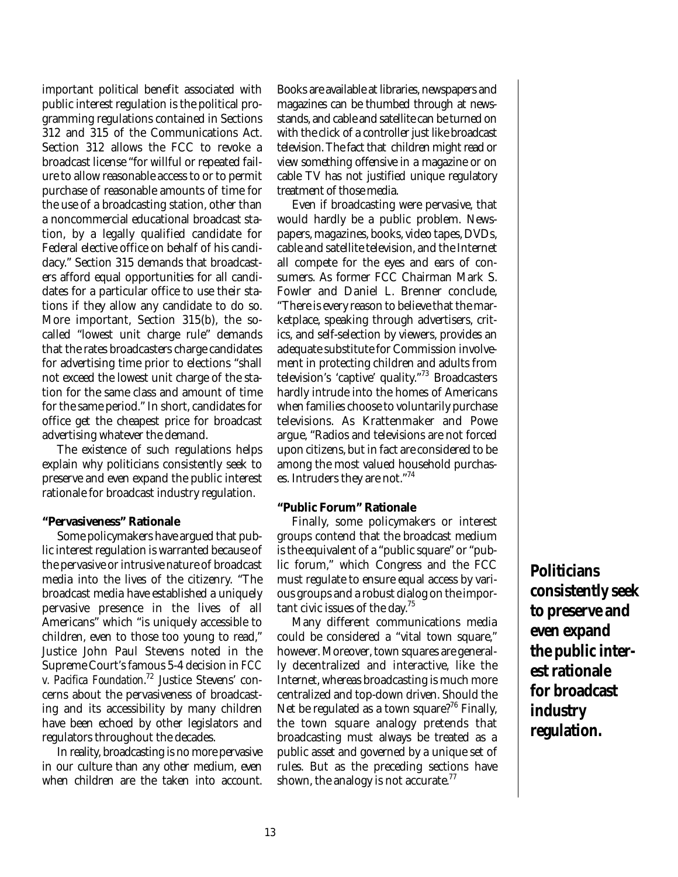important political benefit associated with public interest regulation is the political programming regulations contained in Sections 312 and 315 of the Communications Act. Section 312 allows the FCC to revoke a broadcast license "for willful or repeated failure to allow reasonable access to or to permit purchase of reasonable amounts of time for the use of a broadcasting station, other than a noncommercial educational broadcast station, by a legally qualified candidate for Federal elective office on behalf of his candidacy." Section 315 demands that broadcasters afford equal opportunities for all candidates for a particular office to use their stations if they allow any candidate to do so. More important, Section 315(b), the socalled "lowest unit charge rule" demands that the rates broadcasters charge candidates for advertising time prior to elections "shall not exceed the lowest unit charge of the station for the same class and amount of time for the same period." In short, candidates for office get the cheapest price for broadcast advertising whatever the demand.

The existence of such regulations helps explain why politicians consistently seek to preserve and even expand the public interest rationale for broadcast industry regulation.

#### **"Pervasiveness" Rationale**

Some policymakers have argued that public interest regulation is warranted because of the pervasive or intrusive nature of broadcast media into the lives of the citizenry. "The broadcast media have established a uniquely pervasive presence in the lives of all Americans" which "is uniquely accessible to children, even to those too young to read," Justice John Paul Stevens noted in the Supreme Court's famous 5-4 decision in *FCC v. Pacifica Foundation*. <sup>72</sup> Justice Stevens' concerns about the pervasiveness of broadcasting and its accessibility by many children have been echoed by other legislators and regulators throughout the decades.

In reality, broadcasting is no more pervasive in our culture than any other medium, even when children are the taken into account. Books are available at libraries, newspapers and magazines can be thumbed through at newsstands, and cable and satellite can be turned on with the click of a controller just like broadcast television. The fact that children might read or view something offensive in a magazine or on cable TV has not justified unique regulatory treatment of those media.

Even if broadcasting were pervasive, that would hardly be a public problem. Newspapers, magazines, books, video tapes, DVDs, cable and satellite television, and the Internet all compete for the eyes and ears of consumers. As former FCC Chairman Mark S. Fowler and Daniel L. Brenner conclude, "There is every reason to believe that the marketplace, speaking through advertisers, critics, and self-selection by viewers, provides an adequate substitute for Commission involvement in protecting children and adults from television's 'captive' quality."73 Broadcasters hardly intrude into the homes of Americans when families choose to voluntarily purchase televisions. As Krattenmaker and Powe argue, "Radios and televisions are not forced upon citizens, but in fact are considered to be among the most valued household purchases. Intruders they are not."74

### **"Public Forum" Rationale**

Finally, some policymakers or interest groups contend that the broadcast medium is the equivalent of a "public square" or "public forum," which Congress and the FCC must regulate to ensure equal access by various groups and a robust dialog on the important civic issues of the day.<sup>75</sup>

Many different communications media could be considered a "vital town square," however. Moreover, town squares are generally decentralized and interactive, like the Internet, whereas broadcasting is much more centralized and top-down driven. Should the Net be regulated as a town square?<sup>76</sup> Finally, the town square analogy pretends that broadcasting must always be treated as a public asset and governed by a unique set of rules. But as the preceding sections have shown, the analogy is not accurate.<sup>77</sup>

**Politicians consistently seek to preserve and even expand the public interest rationale for broadcast industry regulation.**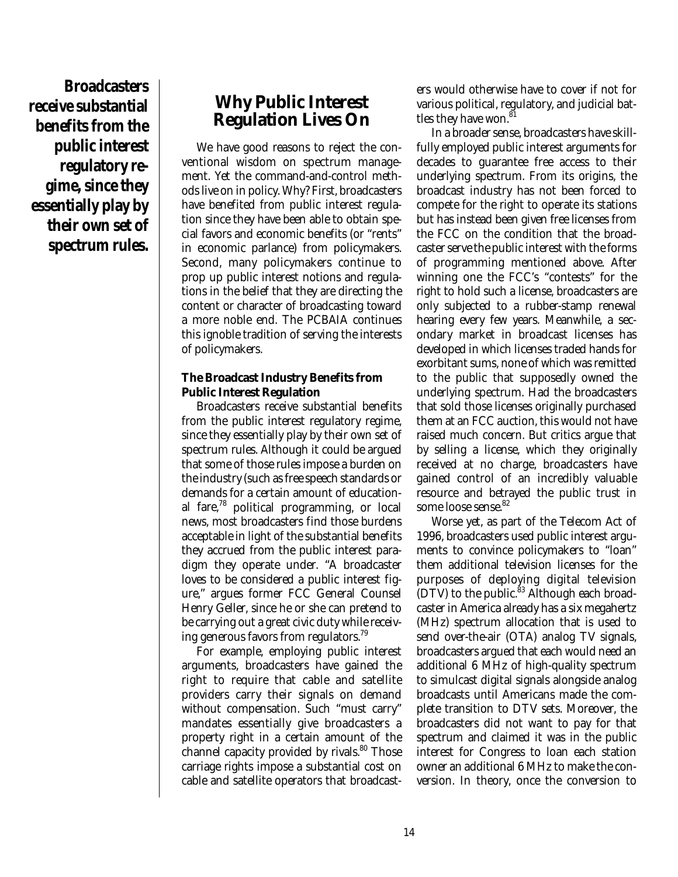**Broadcasters receive substantial benefits from the public interest regulatory regime, since they essentially play by their own set of spectrum rules.**

### **Why Public Interest Regulation Lives On**

We have good reasons to reject the conventional wisdom on spectrum management. Yet the command-and-control methods live on in policy. Why? First, broadcasters have benefited from public interest regulation since they have been able to obtain special favors and economic benefits (or "rents" in economic parlance) from policymakers. Second, many policymakers continue to prop up public interest notions and regulations in the belief that they are directing the content or character of broadcasting toward a more noble end. The PCBAIA continues this ignoble tradition of serving the interests of policymakers.

### **The Broadcast Industry Benefits from Public Interest Regulation**

Broadcasters receive substantial benefits from the public interest regulatory regime, since they essentially play by their own set of spectrum rules. Although it could be argued that some of those rules impose a burden on the industry (such as free speech standards or demands for a certain amount of educational fare,78 political programming, or local news, most broadcasters find those burdens acceptable in light of the substantial benefits they accrued from the public interest paradigm they operate under. "A broadcaster loves to be considered a public interest figure," argues former FCC General Counsel Henry Geller, since he or she can pretend to be carrying out a great civic duty while receiving generous favors from regulators.<sup>79</sup>

For example, employing public interest arguments, broadcasters have gained the right to require that cable and satellite providers carry their signals on demand without compensation. Such "must carry" mandates essentially give broadcasters a property right in a certain amount of the channel capacity provided by rivals.<sup>80</sup> Those carriage rights impose a substantial cost on cable and satellite operators that broadcasters would otherwise have to cover if not for various political, regulatory, and judicial battles they have won. $8$ 

In a broader sense, broadcasters have skillfully employed public interest arguments for decades to guarantee free access to their underlying spectrum. From its origins, the broadcast industry has not been forced to compete for the right to operate its stations but has instead been given free licenses from the FCC on the condition that the broadcaster serve the public interest with the forms of programming mentioned above. After winning one the FCC's "contests" for the right to hold such a license, broadcasters are only subjected to a rubber-stamp renewal hearing every few years. Meanwhile, a secondary market in broadcast licenses has developed in which licenses traded hands for exorbitant sums, none of which was remitted to the public that supposedly owned the underlying spectrum. Had the broadcasters that sold those licenses originally purchased them at an FCC auction, this would not have raised much concern. But critics argue that by selling a license, which they originally received at no charge, broadcasters have gained control of an incredibly valuable resource and betrayed the public trust in some loose sense.<sup>82</sup>

Worse yet, as part of the Telecom Act of 1996, broadcasters used public interest arguments to convince policymakers to "loan" them additional television licenses for the purposes of deploying digital television  $(DTV)$  to the public.<sup>83</sup> Although each broadcaster in America already has a six megahertz (MHz) spectrum allocation that is used to send over-the-air (OTA) analog TV signals, broadcasters argued that each would need an additional 6 MHz of high-quality spectrum to simulcast digital signals alongside analog broadcasts until Americans made the complete transition to DTV sets. Moreover, the broadcasters did not want to pay for that spectrum and claimed it was in the public interest for Congress to loan each station owner an additional 6 MHz to make the conversion. In theory, once the conversion to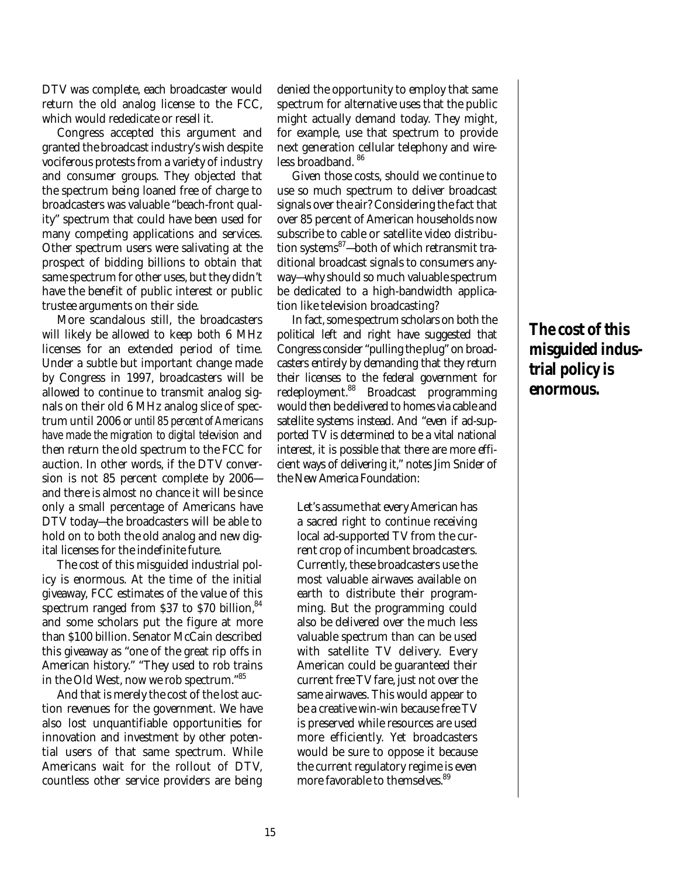DTV was complete, each broadcaster would return the old analog license to the FCC, which would rededicate or resell it.

Congress accepted this argument and granted the broadcast industry's wish despite vociferous protests from a variety of industry and consumer groups. They objected that the spectrum being loaned free of charge to broadcasters was valuable "beach-front quality" spectrum that could have been used for many competing applications and services. Other spectrum users were salivating at the prospect of bidding billions to obtain that same spectrum for other uses, but they didn't have the benefit of public interest or public trustee arguments on their side.

More scandalous still, the broadcasters will likely be allowed to keep both 6 MHz licenses for an extended period of time. Under a subtle but important change made by Congress in 1997, broadcasters will be allowed to continue to transmit analog signals on their old 6 MHz analog slice of spectrum until 2006 *or until 85 percent of Americans have made the migration to digital television* and then return the old spectrum to the FCC for auction. In other words, if the DTV conversion is not 85 percent complete by 2006 and there is almost no chance it will be since only a small percentage of Americans have DTV today—the broadcasters will be able to hold on to both the old analog and new digital licenses for the indefinite future.

The cost of this misguided industrial policy is enormous. At the time of the initial giveaway, FCC estimates of the value of this spectrum ranged from \$37 to \$70 billion,<sup>84</sup> and some scholars put the figure at more than \$100 billion. Senator McCain described this giveaway as "one of the great rip offs in American history." "They used to rob trains in the Old West, now we rob spectrum."85

And that is merely the cost of the lost auction revenues for the government. We have also lost unquantifiable opportunities for innovation and investment by other potential users of that same spectrum. While Americans wait for the rollout of DTV, countless other service providers are being

denied the opportunity to employ that same spectrum for alternative uses that the public might actually demand today. They might, for example, use that spectrum to provide next generation cellular telephony and wireless broadband. 86

Given those costs, should we continue to use so much spectrum to deliver broadcast signals over the air? Considering the fact that over 85 percent of American households now subscribe to cable or satellite video distribution systems<sup>87</sup>-both of which retransmit traditional broadcast signals to consumers anyway—why should so much valuable spectrum be dedicated to a high-bandwidth application like television broadcasting?

In fact, some spectrum scholars on both the political left and right have suggested that Congress consider "pulling the plug" on broadcasters entirely by demanding that they return their licenses to the federal government for redeployment.<sup>88</sup> Broadcast programming would then be delivered to homes via cable and satellite systems instead. And "even if ad-supported TV is determined to be a vital national interest, it is possible that there are more efficient ways of delivering it," notes Jim Snider of the New America Foundation:

Let's assume that every American has a sacred right to continue receiving local ad-supported TV from the current crop of incumbent broadcasters. Currently, these broadcasters use the most valuable airwaves available on earth to distribute their programming. But the programming could also be delivered over the much less valuable spectrum than can be used with satellite TV delivery. Every American could be guaranteed their current free TV fare, just not over the same airwaves. This would appear to be a creative win-win because free TV is preserved while resources are used more efficiently. Yet broadcasters would be sure to oppose it because the current regulatory regime is even more favorable to themselves.<sup>89</sup>

# **The cost of this misguided industrial policy is enormous.**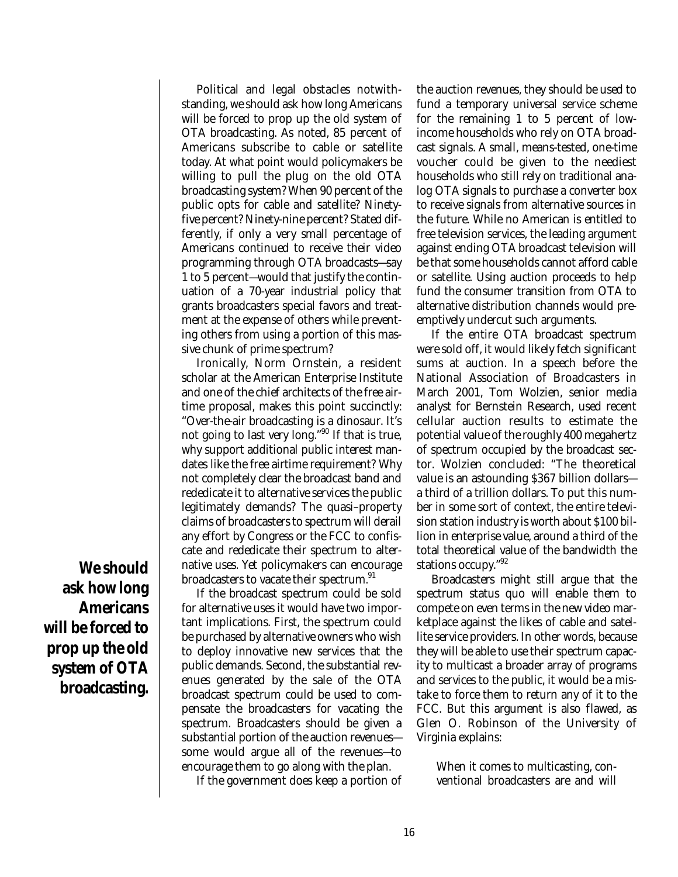Political and legal obstacles notwithstanding, we should ask how long Americans will be forced to prop up the old system of OTA broadcasting. As noted, 85 percent of Americans subscribe to cable or satellite today. At what point would policymakers be willing to pull the plug on the old OTA broadcasting system? When 90 percent of the public opts for cable and satellite? Ninetyfive percent? Ninety-nine percent? Stated differently, if only a very small percentage of Americans continued to receive their video programming through OTA broadcasts—say 1 to 5 percent—would that justify the continuation of a 70-year industrial policy that grants broadcasters special favors and treatment at the expense of others while preventing others from using a portion of this massive chunk of prime spectrum?

Ironically, Norm Ornstein, a resident scholar at the American Enterprise Institute and one of the chief architects of the free airtime proposal, makes this point succinctly: "Over-the-air broadcasting is a dinosaur. It's not going to last very long."90 If that is true, why support additional public interest mandates like the free airtime requirement? Why not completely clear the broadcast band and rededicate it to alternative services the public legitimately demands? The quasi–property claims of broadcasters to spectrum will derail any effort by Congress or the FCC to confiscate and rededicate their spectrum to alternative uses. Yet policymakers can encourage broadcasters to vacate their spectrum.<sup>91</sup>

If the broadcast spectrum could be sold for alternative uses it would have two important implications. First, the spectrum could be purchased by alternative owners who wish to deploy innovative new services that the public demands. Second, the substantial revenues generated by the sale of the OTA broadcast spectrum could be used to compensate the broadcasters for vacating the spectrum. Broadcasters should be given a substantial portion of the auction revenues some would argue *all* of the revenues—to encourage them to go along with the plan.

If the government does keep a portion of

the auction revenues, they should be used to fund a temporary universal service scheme for the remaining 1 to 5 percent of lowincome households who rely on OTA broadcast signals. A small, means-tested, one-time voucher could be given to the neediest households who still rely on traditional analog OTA signals to purchase a converter box to receive signals from alternative sources in the future. While no American is entitled to free television services, the leading argument against ending OTA broadcast television will be that some households cannot afford cable or satellite. Using auction proceeds to help fund the consumer transition from OTA to alternative distribution channels would preemptively undercut such arguments.

If the entire OTA broadcast spectrum were sold off, it would likely fetch significant sums at auction. In a speech before the National Association of Broadcasters in March 2001, Tom Wolzien, senior media analyst for Bernstein Research, used recent cellular auction results to estimate the potential value of the roughly 400 megahertz of spectrum occupied by the broadcast sector. Wolzien concluded: "The theoretical value is an astounding \$367 billion dollars a third of a trillion dollars. To put this number in some sort of context, the entire television station industry is worth about \$100 billion in enterprise value, around a third of the total theoretical value of the bandwidth the stations occupy."<sup>92</sup>

Broadcasters might still argue that the spectrum status quo will enable them to compete on even terms in the new video marketplace against the likes of cable and satellite service providers. In other words, because they will be able to use their spectrum capacity to multicast a broader array of programs and services to the public, it would be a mistake to force them to return any of it to the FCC. But this argument is also flawed, as Glen O. Robinson of the University of Virginia explains:

When it comes to multicasting, conventional broadcasters are and will

**We should ask how long Americans will be forced to prop up the old system of OTA broadcasting.**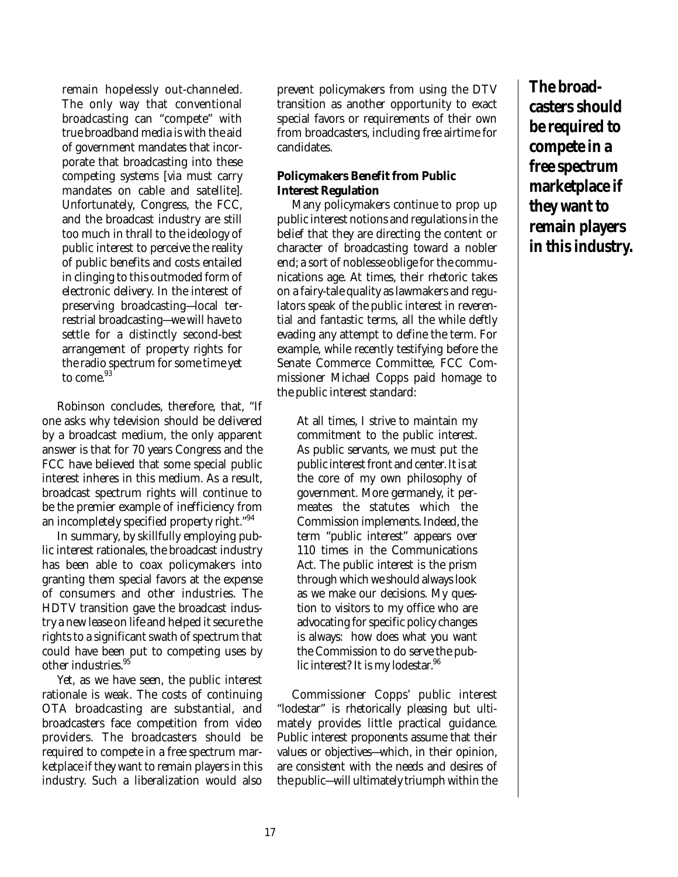remain hopelessly out-channeled. The only way that conventional broadcasting can "compete" with true broadband media is with the aid of government mandates that incorporate that broadcasting into these competing systems [via must carry mandates on cable and satellite]. Unfortunately, Congress, the FCC, and the broadcast industry are still too much in thrall to the ideology of public interest to perceive the reality of public benefits and costs entailed in clinging to this outmoded form of electronic delivery. In the interest of preserving broadcasting—local terrestrial broadcasting—we will have to settle for a distinctly second-best arrangement of property rights for the radio spectrum for some time yet to come. $9$ 

Robinson concludes, therefore, that, "If one asks why television should be delivered by a broadcast medium, the only apparent answer is that for 70 years Congress and the FCC have believed that some special public interest inheres in this medium. As a result, broadcast spectrum rights will continue to be the premier example of inefficiency from an incompletely specified property right."<sup>94</sup>

In summary, by skillfully employing public interest rationales, the broadcast industry has been able to coax policymakers into granting them special favors at the expense of consumers and other industries. The HDTV transition gave the broadcast industry a new lease on life and helped it secure the rights to a significant swath of spectrum that could have been put to competing uses by other industries.<sup>95</sup>

Yet, as we have seen, the public interest rationale is weak. The costs of continuing OTA broadcasting are substantial, and broadcasters face competition from video providers. The broadcasters should be required to compete in a free spectrum marketplace if they want to remain players in this industry. Such a liberalization would also

prevent policymakers from using the DTV transition as another opportunity to exact special favors or requirements of their own from broadcasters, including free airtime for candidates.

### **Policymakers Benefit from Public Interest Regulation**

Many policymakers continue to prop up public interest notions and regulations in the belief that they are directing the content or character of broadcasting toward a nobler end; a sort of noblesse oblige for the communications age. At times, their rhetoric takes on a fairy-tale quality as lawmakers and regulators speak of the public interest in reverential and fantastic terms, all the while deftly evading any attempt to define the term. For example, while recently testifying before the Senate Commerce Committee, FCC Commissioner Michael Copps paid homage to the public interest standard:

At all times, I strive to maintain my commitment to the public interest. As public servants, we must put the public interest front and center. It is at the core of my own philosophy of government. More germanely, it permeates the statutes which the Commission implements. Indeed, the term "public interest" appears over 110 times in the Communications Act. The public interest is the prism through which we should always look as we make our decisions. My question to visitors to my office who are advocating for specific policy changes is always: how does what you want the Commission to do serve the public interest? It is my lodestar.<sup>96</sup>

Commissioner Copps' public interest "lodestar" is rhetorically pleasing but ultimately provides little practical guidance. Public interest proponents assume that their values or objectives—which, in their opinion, are consistent with the needs and desires of the public—will ultimately triumph within the **The broadcasters should be required to compete in a free spectrum marketplace if they want to remain players in this industry.**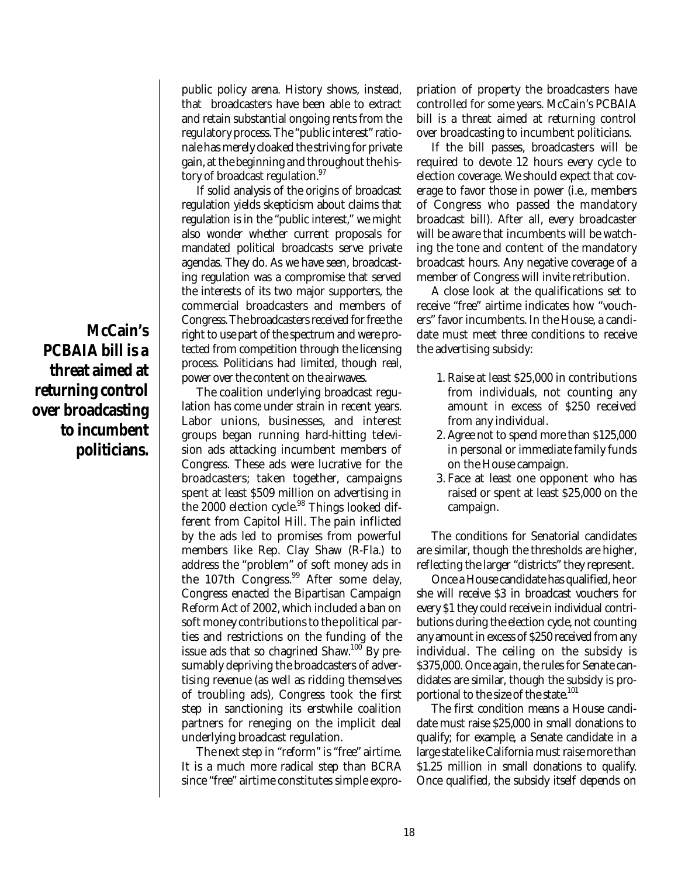**McCain's PCBAIA bill is a threat aimed at returning control over broadcasting to incumbent politicians.**

public policy arena. History shows, instead, that broadcasters have been able to extract and retain substantial ongoing rents from the regulatory process. The "public interest" rationale has merely cloaked the striving for private gain, at the beginning and throughout the history of broadcast regulation.<sup>97</sup>

If solid analysis of the origins of broadcast regulation yields skepticism about claims that regulation is in the "public interest," we might also wonder whether current proposals for mandated political broadcasts serve private agendas. They do. As we have seen, broadcasting regulation was a compromise that served the interests of its two major supporters, the commercial broadcasters and members of Congress. The broadcasters received for free the right to use part of the spectrum and were protected from competition through the licensing process. Politicians had limited, though real, power over the content on the airwaves.

The coalition underlying broadcast regulation has come under strain in recent years. Labor unions, businesses, and interest groups began running hard-hitting television ads attacking incumbent members of Congress. These ads were lucrative for the broadcasters; taken together, campaigns spent at least \$509 million on advertising in the 2000 election cycle.<sup>98</sup> Things looked different from Capitol Hill. The pain inflicted by the ads led to promises from powerful members like Rep. Clay Shaw (R-Fla.) to address the "problem" of soft money ads in the 107th Congress.<sup>99</sup> After some delay, Congress enacted the Bipartisan Campaign Reform Act of 2002, which included a ban on soft money contributions to the political parties and restrictions on the funding of the issue ads that so chagrined Shaw. $100$  By presumably depriving the broadcasters of advertising revenue (as well as ridding themselves of troubling ads), Congress took the first step in sanctioning its erstwhile coalition partners for reneging on the implicit deal underlying broadcast regulation.

The next step in "reform" is "free" airtime. It is a much more radical step than BCRA since "free" airtime constitutes simple expropriation of property the broadcasters have controlled for some years. McCain's PCBAIA bill is a threat aimed at returning control over broadcasting to incumbent politicians.

If the bill passes, broadcasters will be required to devote 12 hours every cycle to election coverage. We should expect that coverage to favor those in power (i.e., members of Congress who passed the mandatory broadcast bill). After all, every broadcaster will be aware that incumbents will be watching the tone and content of the mandatory broadcast hours. Any negative coverage of a member of Congress will invite retribution.

A close look at the qualifications set to receive "free" airtime indicates how "vouchers" favor incumbents. In the House, a candidate must meet three conditions to receive the advertising subsidy:

- 1. Raise at least \$25,000 in contributions from individuals, not counting any amount in excess of \$250 received from any individual.
- 2. Agree not to spend more than \$125,000 in personal or immediate family funds on the House campaign.
- 3. Face at least one opponent who has raised or spent at least \$25,000 on the campaign.

The conditions for Senatorial candidates are similar, though the thresholds are higher, reflecting the larger "districts" they represent.

Once a House candidate has qualified, he or she will receive \$3 in broadcast vouchers for every \$1 they could receive in individual contributions during the election cycle, not counting any amount in excess of \$250 received from any individual. The ceiling on the subsidy is \$375,000. Once again, the rules for Senate candidates are similar, though the subsidy is proportional to the size of the state.<sup>101</sup>

The first condition means a House candidate must raise \$25,000 in small donations to qualify; for example, a Senate candidate in a large state like California must raise more than \$1.25 million in small donations to qualify. Once qualified, the subsidy itself depends on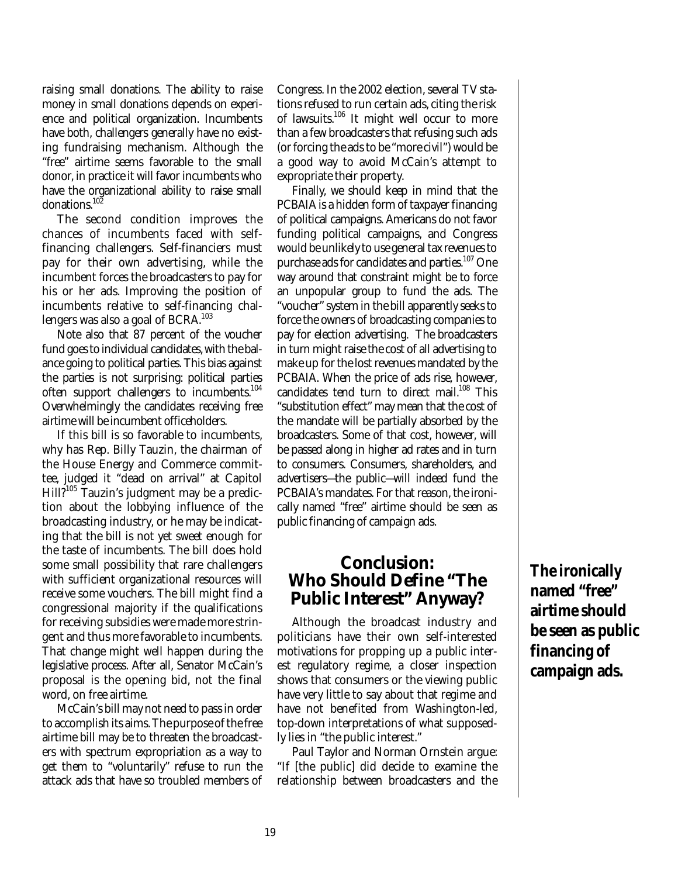raising small donations. The ability to raise money in small donations depends on experience and political organization. Incumbents have both, challengers generally have no existing fundraising mechanism. Although the "free" airtime seems favorable to the small donor, in practice it will favor incumbents who have the organizational ability to raise small donations.102

The second condition improves the chances of incumbents faced with selffinancing challengers. Self-financiers must pay for their own advertising, while the incumbent forces the broadcasters to pay for his or her ads. Improving the position of incumbents relative to self-financing challengers was also a goal of BCRA.<sup>103</sup>

Note also that 87 percent of the voucher fund goes to individual candidates, with the balance going to political parties. This bias against the parties is not surprising: political parties often support challengers to incumbents.<sup>104</sup> Overwhelmingly the candidates receiving free airtime will be incumbent officeholders.

If this bill is so favorable to incumbents, why has Rep. Billy Tauzin, the chairman of the House Energy and Commerce committee, judged it "dead on arrival" at Capitol Hill?<sup>105</sup> Tauzin's judgment may be a prediction about the lobbying influence of the broadcasting industry, or he may be indicating that the bill is not yet sweet enough for the taste of incumbents. The bill does hold some small possibility that rare challengers with sufficient organizational resources will receive some vouchers. The bill might find a congressional majority if the qualifications for receiving subsidies were made more stringent and thus more favorable to incumbents. That change might well happen during the legislative process. After all, Senator McCain's proposal is the opening bid, not the final word, on free airtime.

McCain's bill may not need to pass in order to accomplish its aims. The purpose of the free airtime bill may be to threaten the broadcasters with spectrum expropriation as a way to get them to "voluntarily" refuse to run the attack ads that have so troubled members of

Congress. In the 2002 election, several TV stations refused to run certain ads, citing the risk of lawsuits.106 It might well occur to more than a few broadcasters that refusing such ads (or forcing the ads to be "more civil") would be a good way to avoid McCain's attempt to expropriate their property.

Finally, we should keep in mind that the PCBAIA is a hidden form of taxpayer financing of political campaigns. Americans do not favor funding political campaigns, and Congress would be unlikely to use general tax revenues to purchase ads for candidates and parties.<sup>107</sup> One way around that constraint might be to force an unpopular group to fund the ads. The "voucher" system in the bill apparently seeks to force the owners of broadcasting companies to pay for election advertising. The broadcasters in turn might raise the cost of all advertising to make up for the lost revenues mandated by the PCBAIA. When the price of ads rise, however, candidates tend turn to direct mail.<sup>108</sup> This "substitution effect" may mean that the cost of the mandate will be partially absorbed by the broadcasters. Some of that cost, however, will be passed along in higher ad rates and in turn to consumers. Consumers, shareholders, and advertisers—the public—will indeed fund the PCBAIA's mandates. For that reason, the ironically named "free" airtime should be seen as public financing of campaign ads.

### **Conclusion: Who Should Define "The Public Interest" Anyway?**

Although the broadcast industry and politicians have their own self-interested motivations for propping up a public interest regulatory regime, a closer inspection shows that consumers or the viewing public have very little to say about that regime and have not benefited from Washington-led, top-down interpretations of what supposedly lies in "the public interest."

Paul Taylor and Norman Ornstein argue: "If [the public] did decide to examine the relationship between broadcasters and the **The ironically named "free" airtime should be seen as public financing of campaign ads.**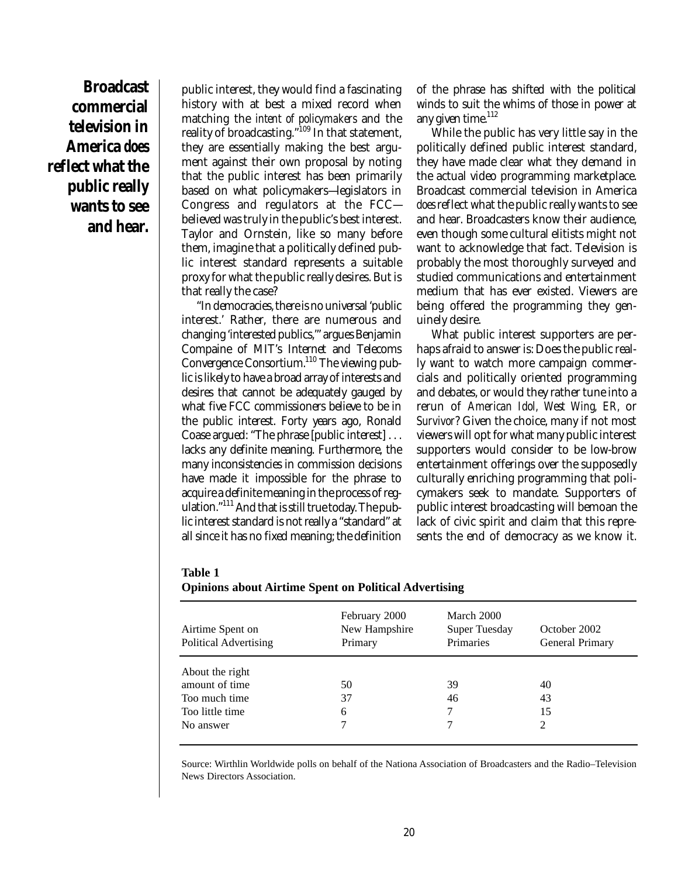**Broadcast commercial television in America** *does* **reflect what the public really wants to see and hear.** 

public interest, they would find a fascinating history with at best a mixed record when matching the *intent of policymakers* and the reality of broadcasting."109 In that statement, they are essentially making the best argument against their own proposal by noting that the public interest has been primarily based on what policymakers—legislators in Congress and regulators at the FCC believed was truly in the public's best interest. Taylor and Ornstein, like so many before them, imagine that a politically defined public interest standard represents a suitable proxy for what the public really desires. But is that really the case?

"In democracies, there is no universal 'public interest.' Rather, there are numerous and changing 'interested publics,'" argues Benjamin Compaine of MIT's Internet and Telecoms Convergence Consortium.110 The viewing public is likely to have a broad array of interests and desires that cannot be adequately gauged by what five FCC commissioners believe to be in the public interest. Forty years ago, Ronald Coase argued: "The phrase [public interest] . . . lacks any definite meaning. Furthermore, the many inconsistencies in commission decisions have made it impossible for the phrase to acquire a definite meaning in the process of regulation."111And that is still true today. The public interest standard is not really a "standard" at all since it has no fixed meaning; the definition

of the phrase has shifted with the political winds to suit the whims of those in power at any given time.<sup>112</sup>

While the public has very little say in the politically defined public interest standard, they have made clear what they demand in the actual video programming marketplace. Broadcast commercial television in America *does*reflect what the public really wants to see and hear. Broadcasters know their audience, even though some cultural elitists might not want to acknowledge that fact. Television is probably the most thoroughly surveyed and studied communications and entertainment medium that has ever existed. Viewers are being offered the programming they genuinely desire.

What public interest supporters are perhaps afraid to answer is: Does the public really want to watch more campaign commercials and politically oriented programming and debates, or would they rather tune into a rerun of *American Idol, West Wing, ER,* or *Survivor*? Given the choice, many if not most viewers will opt for what many public interest supporters would consider to be low-brow entertainment offerings over the supposedly culturally enriching programming that policymakers seek to mandate. Supporters of public interest broadcasting will bemoan the lack of civic spirit and claim that this represents the end of democracy as we know it.

### **Table 1 Opinions about Airtime Spent on Political Advertising**

| Airtime Spent on<br><b>Political Advertising</b> | February 2000<br>New Hampshire<br>Primary | March 2000<br><b>Super Tuesday</b><br><b>Primaries</b> | October 2002<br>General Primary |
|--------------------------------------------------|-------------------------------------------|--------------------------------------------------------|---------------------------------|
| About the right                                  |                                           |                                                        |                                 |
| amount of time                                   | 50                                        | 39                                                     | 40                              |
| Too much time                                    | 37                                        | 46                                                     | 43                              |
| Too little time                                  | 6                                         | 7                                                      | 15                              |
| No answer                                        |                                           |                                                        |                                 |

Source: Wirthlin Worldwide polls on behalf of the Nationa Association of Broadcasters and the Radio–Television News Directors Association.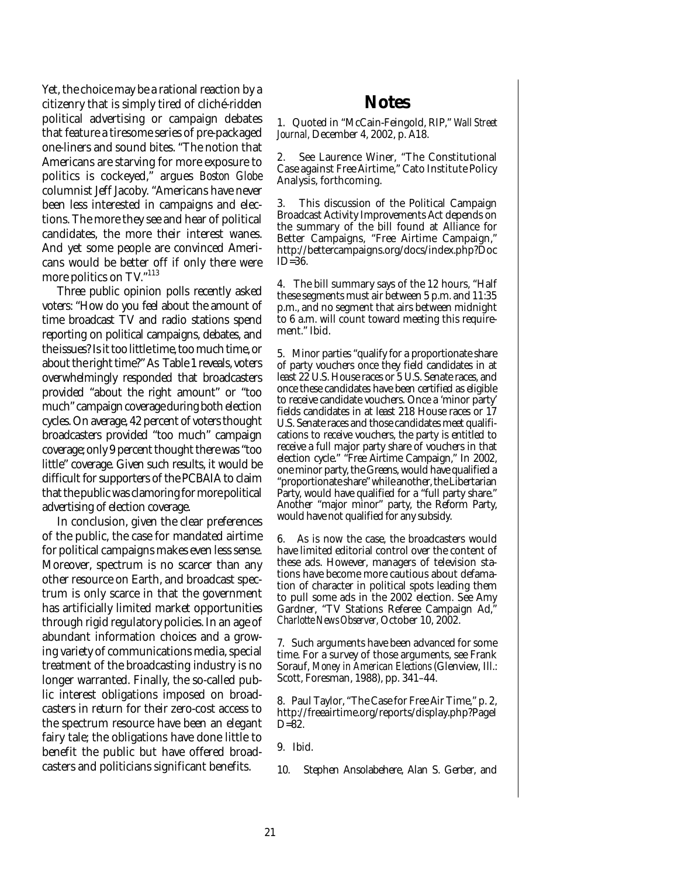Yet, the choice may be a rational reaction by a citizenry that is simply tired of cliché-ridden political advertising or campaign debates that feature a tiresome series of pre-packaged one-liners and sound bites. "The notion that Americans are starving for more exposure to politics is cockeyed," argues *Boston Globe* columnist Jeff Jacoby. "Americans have never been less interested in campaigns and elections. The more they see and hear of political candidates, the more their interest wanes. And yet some people are convinced Americans would be better off if only there were more politics on TV."113

Three public opinion polls recently asked voters: "How do you feel about the amount of time broadcast TV and radio stations spend reporting on political campaigns, debates, and the issues? Is it too little time, too much time, or about the right time?" As Table 1 reveals, voters overwhelmingly responded that broadcasters provided "about the right amount" or "too much" campaign coverage during both election cycles. On average, 42 percent of voters thought broadcasters provided "too much" campaign coverage; only 9 percent thought there was "too little" coverage. Given such results, it would be difficult for supporters of the PCBAIA to claim that the public was clamoring for more political advertising of election coverage.

In conclusion, given the clear preferences of the public, the case for mandated airtime for political campaigns makes even less sense. Moreover, spectrum is no scarcer than any other resource on Earth, and broadcast spectrum is only scarce in that the government has artificially limited market opportunities through rigid regulatory policies. In an age of abundant information choices and a growing variety of communications media, special treatment of the broadcasting industry is no longer warranted. Finally, the so-called public interest obligations imposed on broadcasters in return for their zero-cost access to the spectrum resource have been an elegant fairy tale; the obligations have done little to benefit the public but have offered broadcasters and politicians significant benefits.

### **Notes**

1. Quoted in "McCain-Feingold, RIP," *Wall Street Journal,* December 4, 2002, p. A18.

2. See Laurence Winer, "The Constitutional Case against Free Airtime," Cato Institute Policy Analysis, forthcoming.

3. This discussion of the Political Campaign Broadcast Activity Improvements Act depends on the summary of the bill found at Alliance for Better Campaigns, "Free Airtime Campaign," http://bettercampaigns.org/docs/index.php?Doc ID=36.

4. The bill summary says of the 12 hours, "Half these segments must air between 5 p.m. and 11:35 p.m., and no segment that airs between midnight to 6 a.m. will count toward meeting this requirement." Ibid.

5. Minor parties "qualify for a proportionate share of party vouchers once they field candidates in at least 22 U.S. House races or 5 U.S. Senate races, and once these candidates have been certified as eligible to receive candidate vouchers. Once a 'minor party' fields candidates in at least 218 House races or 17 U.S. Senate races and those candidates meet qualifications to receive vouchers, the party is entitled to receive a full major party share of vouchers in that election cycle." "Free Airtime Campaign," In 2002, one minor party, the Greens, would have qualified a "proportionate share" while another, the Libertarian Party, would have qualified for a "full party share." Another "major minor" party, the Reform Party, would have not qualified for any subsidy.

6. As is now the case, the broadcasters would have limited editorial control over the content of these ads. However, managers of television stations have become more cautious about defamation of character in political spots leading them to pull some ads in the 2002 election. See Amy Gardner, "TV Stations Referee Campaign Ad," *Charlotte News Observer,* October 10, 2002.

7. Such arguments have been advanced for some time. For a survey of those arguments, see Frank Sorauf, *Money in American Elections* (Glenview, Ill.: Scott, Foresman, 1988), pp. 341–44.

8. Paul Taylor, "The Case for Free Air Time," p. 2, http://freeairtime.org/reports/display.php?PageI  $D = 82.$ 

9. Ibid.

<sup>10.</sup> Stephen Ansolabehere, Alan S. Gerber, and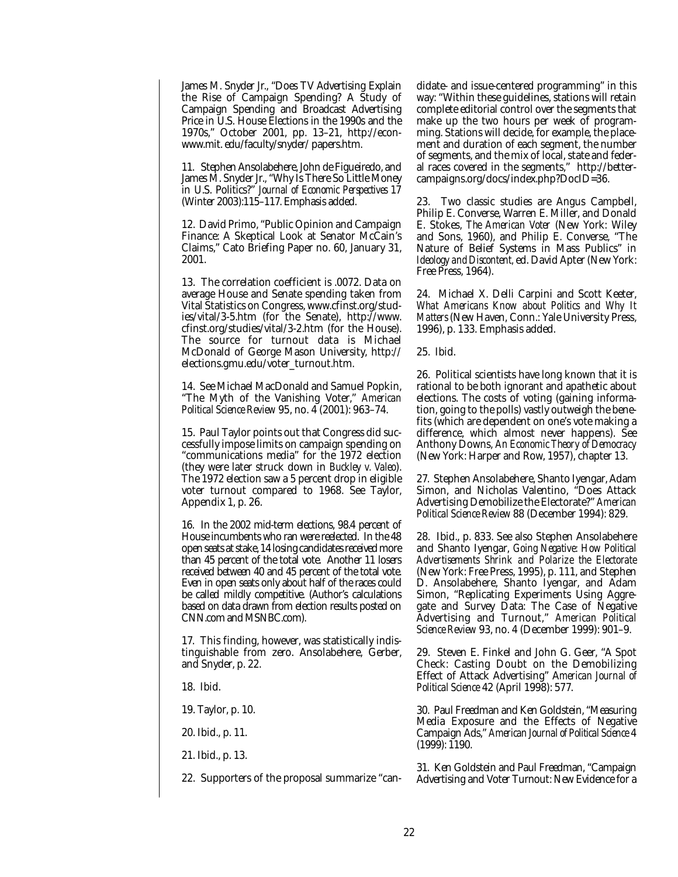James M. Snyder Jr., "Does TV Advertising Explain the Rise of Campaign Spending? A Study of Campaign Spending and Broadcast Advertising Price in U.S. House Elections in the 1990s and the 1970s," October 2001, pp. 13–21, http://econwww.mit. edu/faculty/snyder/ papers.htm.

11. Stephen Ansolabehere, John de Figueiredo, and James M. Snyder Jr., "Why Is There So Little Money in U.S. Politics?" *Journal of Economic Perspectives* 17 (Winter 2003):115–117. Emphasis added.

12. David Primo, "Public Opinion and Campaign Finance: A Skeptical Look at Senator McCain's Claims," Cato Briefing Paper no. 60, January 31, 2001.

13. The correlation coefficient is .0072. Data on average House and Senate spending taken from Vital Statistics on Congress, www.cfinst.org/studies/vital/3-5.htm (for the Senate), http://www. cfinst.org/studies/vital/3-2.htm (for the House). The source for turnout data is Michael McDonald of George Mason University, http:// elections.gmu.edu/voter\_turnout.htm.

14. See Michael MacDonald and Samuel Popkin, "The Myth of the Vanishing Voter," *American Political Science Review* 95, no. 4 (2001): 963–74.

15. Paul Taylor points out that Congress did successfully impose limits on campaign spending on "communications media" for the 1972 election (they were later struck down in *Buckley v. Valeo*). The 1972 election saw a 5 percent drop in eligible voter turnout compared to 1968. See Taylor, Appendix 1, p. 26.

16. In the 2002 mid-term elections, 98.4 percent of House incumbents who ran were reelected. In the 48 open seats at stake, 14 losing candidates received more than 45 percent of the total vote. Another 11 losers received between 40 and 45 percent of the total vote. Even in open seats only about half of the races could be called mildly competitive. (Author's calculations based on data drawn from election results posted on CNN.com and MSNBC.com).

17. This finding, however, was statistically indistinguishable from zero. Ansolabehere, Gerber, and Snyder, p. 22.

18. Ibid.

19. Taylor, p. 10.

20. Ibid., p. 11.

21. Ibid., p. 13.

22. Supporters of the proposal summarize "can-

didate- and issue-centered programming" in this way: "Within these guidelines, stations will retain complete editorial control over the segments that make up the two hours per week of programming. Stations will decide, for example, the placement and duration of each segment, the number of segments, and the mix of local, state and federal races covered in the segments," http://bettercampaigns.org/docs/index.php?DocID=36.

23. Two classic studies are Angus Campbell, Philip E. Converse, Warren E. Miller, and Donald E. Stokes, *The American Voter* (New York: Wiley and Sons, 1960), and Philip E. Converse, "The Nature of Belief Systems in Mass Publics" in *Ideology and Discontent,* ed. David Apter (New York: Free Press, 1964).

24. Michael X. Delli Carpini and Scott Keeter, *What Americans Know about Politics and Why It Matters* (New Haven, Conn.: Yale University Press, 1996), p. 133. Emphasis added.

25. Ibid.

26. Political scientists have long known that it is rational to be both ignorant and apathetic about elections. The costs of voting (gaining information, going to the polls) vastly outweigh the benefits (which are dependent on one's vote making a difference, which almost never happens). See Anthony Downs, *An Economic Theory of Democracy* (New York: Harper and Row, 1957), chapter 13.

27. Stephen Ansolabehere, Shanto Iyengar, Adam Simon, and Nicholas Valentino, "Does Attack Advertising Demobilize the Electorate?" *American Political Science Review* 88 (December 1994): 829.

28. Ibid., p. 833. See also Stephen Ansolabehere and Shanto Iyengar, *Going Negative: How Political Advertisements Shrink and Polarize the Electorate* (New York: Free Press, 1995), p. 111, and Stephen D. Ansolabehere, Shanto Iyengar, and Adam Simon, "Replicating Experiments Using Aggregate and Survey Data: The Case of Negative Advertising and Turnout," *American Political Science Review* 93, no. 4 (December 1999): 901–9.

29. Steven E. Finkel and John G. Geer, "A Spot Check: Casting Doubt on the Demobilizing Effect of Attack Advertising" A*merican Journal of Political Science* 42 (April 1998): 577.

30. Paul Freedman and Ken Goldstein, "Measuring Media Exposure and the Effects of Negative Campaign Ads," *American Journal of Political Science* 4 (1999): 1190.

31. Ken Goldstein and Paul Freedman, "Campaign Advertising and Voter Turnout: New Evidence for a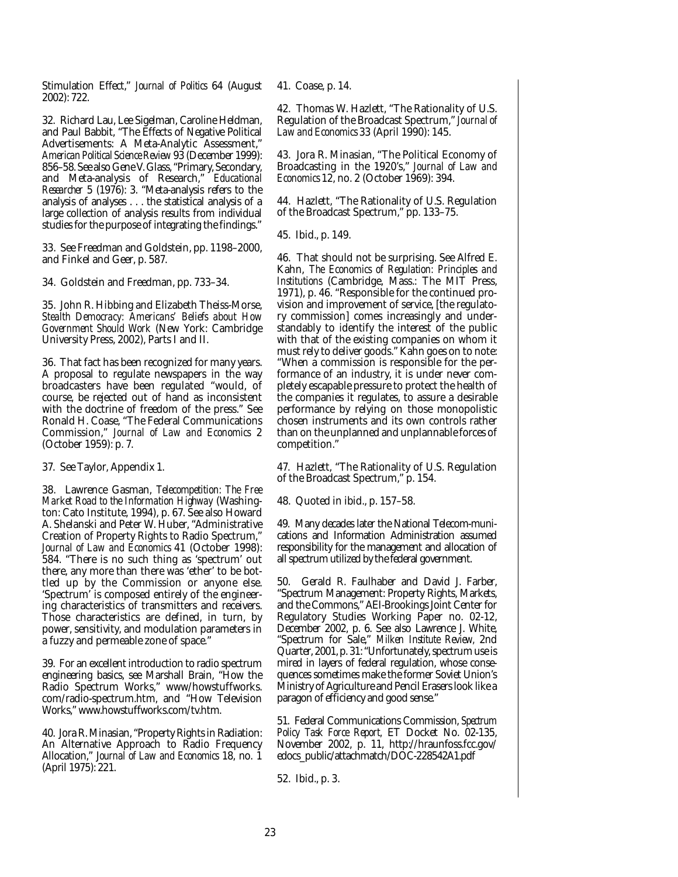Stimulation Effect," *Journal of Politics* 64 (August 2002): 722.

32. Richard Lau, Lee Sigelman, Caroline Heldman, and Paul Babbit, "The Effects of Negative Political Advertisements: A Meta-Analytic Assessment," *American Political Science Review* 93 (December 1999): 856–58. See also Gene V. Glass, "Primary, Secondary, and Meta-analysis of Research," *Educational Researcher* 5 (1976): 3. "Meta-analysis refers to the analysis of analyses . . . the statistical analysis of a large collection of analysis results from individual studies for the purpose of integrating the findings."

33. See Freedman and Goldstein, pp. 1198–2000, and Finkel and Geer, p. 587.

34. Goldstein and Freedman, pp. 733–34.

35. John R. Hibbing and Elizabeth Theiss-Morse, *Stealth Democracy: Americans' Beliefs about How Government Should Work* (New York: Cambridge University Press, 2002), Parts I and II.

36. That fact has been recognized for many years. A proposal to regulate newspapers in the way broadcasters have been regulated "would, of course, be rejected out of hand as inconsistent with the doctrine of freedom of the press." See Ronald H. Coase, "The Federal Communications Commission," *Journal of Law and Economics* 2 (October 1959): p. 7.

37. See Taylor, Appendix 1.

38. Lawrence Gasman, *Telecompetition: The Free Market Road to the Information Highway* (Washington: Cato Institute, 1994), p. 67. See also Howard A. Shelanski and Peter W. Huber, "Administrative Creation of Property Rights to Radio Spectrum," *Journal of Law and Economics* 41 (October 1998): 584. "There is no such thing as 'spectrum' out there, any more than there was 'ether' to be bottled up by the Commission or anyone else. 'Spectrum' is composed entirely of the engineering characteristics of transmitters and receivers. Those characteristics are defined, in turn, by power, sensitivity, and modulation parameters in a fuzzy and permeable zone of space."

39. For an excellent introduction to radio spectrum engineering basics, see Marshall Brain, "How the Radio Spectrum Works," www/howstuffworks. com/radio-spectrum.htm, and "How Television Works," www.howstuffworks.com/tv.htm.

40. Jora R. Minasian, "Property Rights in Radiation: An Alternative Approach to Radio Frequency Allocation," J*ournal of Law and Economics* 18, no. 1 (April 1975): 221.

41. Coase, p. 14.

42. Thomas W. Hazlett, "The Rationality of U.S. Regulation of the Broadcast Spectrum," *Journal of Law and Economics* 33 (April 1990): 145.

43. Jora R. Minasian, "The Political Economy of Broadcasting in the 1920's," *Journal of Law and Economics* 12, no. 2 (October 1969): 394.

44. Hazlett, "The Rationality of U.S. Regulation of the Broadcast Spectrum," pp. 133–75.

45. Ibid., p. 149.

46. That should not be surprising. See Alfred E. Kahn, *The Economics of Regulation: Principles and Institutions* (Cambridge, Mass.: The MIT Press, 1971), p. 46. "Responsible for the continued provision and improvement of service, [the regulatory commission] comes increasingly and understandably to identify the interest of the public with that of the existing companies on whom it must rely to deliver goods." Kahn goes on to note: "When a commission is responsible for the performance of an industry, it is under never completely escapable pressure to protect the health of the companies it regulates, to assure a desirable performance by relying on those monopolistic chosen instruments and its own controls rather than on the unplanned and unplannable forces of competition."

47. Hazlett, "The Rationality of U.S. Regulation of the Broadcast Spectrum," p. 154.

48. Quoted in ibid., p. 157–58.

49. Many decades later the National Telecom-munications and Information Administration assumed responsibility for the management and allocation of all spectrum utilized by the federal government.

50. Gerald R. Faulhaber and David J. Farber, "Spectrum Management: Property Rights, Markets, and the Commons," AEI-Brookings Joint Center for Regulatory Studies Working Paper no. 02-12, December 2002, p. 6. See also Lawrence J. White, "Spectrum for Sale," *Milken Institute Review,* 2nd Quarter, 2001, p. 31: "Unfortunately, spectrum use is mired in layers of federal regulation, whose consequences sometimes make the former Soviet Union's Ministry of Agriculture and Pencil Erasers look like a paragon of efficiency and good sense."

51. Federal Communications Commission, *Spectrum Policy Task Force Report,* ET Docket No. 02-135, November 2002, p. 11, http://hraunfoss.fcc.gov/ edocs\_public/attachmatch/DOC-228542A1.pdf

52. Ibid., p. 3.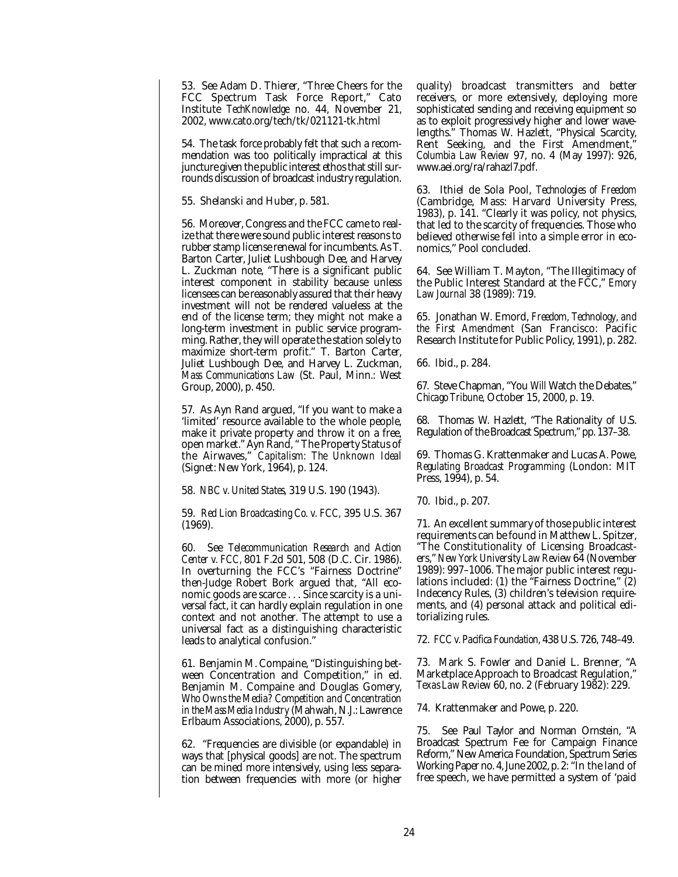53. See Adam D. Thierer, "Three Cheers for the FCC Spectrum Task Force Report," Cato Institute *TechKnowledge* no. 44, November 21, 2002, www.cato.org/tech/tk/021121-tk.html

54. The task force probably felt that such a recommendation was too politically impractical at this juncture given the public interest ethos that still surrounds discussion of broadcast industry regulation.

55. Shelanski and Huber, p. 581.

56. Moreover, Congress and the FCC came to realize that there were sound public interest reasons to rubber stamp license renewal for incumbents. As T. Barton Carter, Juliet Lushbough Dee, and Harvey L. Zuckman note, "There is a significant public interest component in stability because unless licensees can be reasonably assured that their heavy investment will not be rendered valueless at the end of the license term; they might not make a long-term investment in public service programming. Rather, they will operate the station solely to maximize short-term profit." T. Barton Carter, Juliet Lushbough Dee, and Harvey L. Zuckman, *Mass Communications Law* (St. Paul, Minn.: West Group, 2000), p. 450.

57. As Ayn Rand argued, "If you want to make a 'limited' resource available to the whole people, make it private property and throw it on a free, open market." Ayn Rand, " The Property Status of the Airwaves," *Capitalism: The Unknown Ideal* (Signet: New York, 1964), p. 124.

58. *NBC v. United States,* 319 U.S. 190 (1943).

59. *Red Lion Broadcasting Co. v. FCC,* 395 U.S. 367 (1969).

60. See *Telecommunication Research and Action Center v. FCC,* 801 F.2d 501, 508 (D.C. Cir. 1986). In overturning the FCC's "Fairness Doctrine" then-Judge Robert Bork argued that, "All economic goods are scarce . . . Since scarcity is a universal fact, it can hardly explain regulation in one context and not another. The attempt to use a universal fact as a distinguishing characteristic leads to analytical confusion."

61. Benjamin M. Compaine, "Distinguishing between Concentration and Competition," in ed. Benjamin M. Compaine and Douglas Gomery, *Who Owns the Media? Competition and Concentration in the Mass Media Industry* (Mahwah, N.J.: Lawrence Erlbaum Associations, 2000), p. 557.

62. "Frequencies are divisible (or expandable) in ways that [physical goods] are not. The spectrum can be mined more intensively, using less separation between frequencies with more (or higher quality) broadcast transmitters and better receivers, or more extensively, deploying more sophisticated sending and receiving equipment so as to exploit progressively higher and lower wavelengths." Thomas W. Hazlett, "Physical Scarcity, Rent Seeking, and the First Amendment," *Columbia Law Review* 97, no. 4 (May 1997): 926, www.aei.org/ra/rahazl7.pdf.

63. Ithiel de Sola Pool, *Technologies of Freedom* (Cambridge, Mass: Harvard University Press, 1983), p. 141. "Clearly it was policy, not physics, that led to the scarcity of frequencies. Those who believed otherwise fell into a simple error in economics," Pool concluded.

64. See William T. Mayton, "The Illegitimacy of the Public Interest Standard at the FCC," *Emory Law Journal* 38 (1989): 719.

65. Jonathan W. Emord, *Freedom, Technology, and the First Amendment* (San Francisco: Pacific Research Institute for Public Policy, 1991), p. 282.

66. Ibid., p. 284.

67. Steve Chapman, "You *Will* Watch the Debates," *Chicago Tribune,* October 15, 2000, p. 19.

68. Thomas W. Hazlett, "The Rationality of U.S. Regulation of the Broadcast Spectrum," pp. 137–38.

69. Thomas G. Krattenmaker and Lucas A. Powe, *Regulating Broadcast Programming* (London: MIT Press, 1994), p. 54.

70. Ibid., p. 207.

71. An excellent summary of those public interest requirements can be found in Matthew L. Spitzer, "The Constitutionality of Licensing Broadcasters," *New York University Law Review* 64 (November 1989): 997–1006. The major public interest regulations included: (1) the "Fairness Doctrine," (2) Indecency Rules, (3) children's television requirements, and (4) personal attack and political editorializing rules.

72. *FCC v. Pacifica Foundation,* 438 U.S. 726, 748–49.

73. Mark S. Fowler and Daniel L. Brenner, "A Marketplace Approach to Broadcast Regulation," *Texas Law Review* 60, no. 2 (February 1982): 229.

74. Krattenmaker and Powe, p. 220.

75. See Paul Taylor and Norman Ornstein, "A Broadcast Spectrum Fee for Campaign Finance Reform," New America Foundation, Spectrum Series Working Paper no. 4, June 2002, p. 2: "In the land of free speech, we have permitted a system of 'paid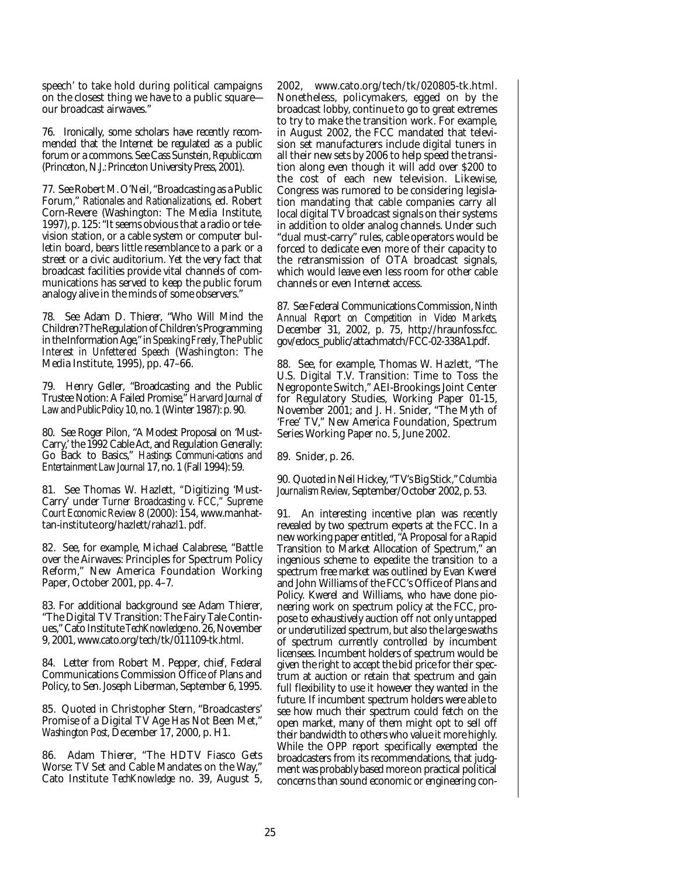speech' to take hold during political campaigns on the closest thing we have to a public square our broadcast airwaves."

76. Ironically, some scholars have recently recommended that the Internet be regulated as a public forum or a commons. See Cass Sunstein, *Republic.com* (Princeton, N.J.: Princeton University Press, 2001).

77. See Robert M. O'Neil, "Broadcasting as a Public Forum," *Rationales and Rationalizations,* ed. Robert Corn-Revere (Washington: The Media Institute, 1997), p. 125: "It seems obvious that a radio or television station, or a cable system or computer bulletin board, bears little resemblance to a park or a street or a civic auditorium. Yet the very fact that broadcast facilities provide vital channels of communications has served to keep the public forum analogy alive in the minds of some observers."

78. See Adam D. Thierer, "Who Will Mind the Children? The Regulation of Children's Programming in the Information Age," in *Speaking Freely, The Public Interest in Unfettered Speech* (Washington: The Media Institute, 1995), pp. 47–66.

79. Henry Geller, "Broadcasting and the Public Trustee Notion: A Failed Promise," *Harvard Journal of Law and Public Policy* 10, no. 1 (Winter 1987): p. 90.

80. See Roger Pilon, "A Modest Proposal on 'Must-Carry,' the 1992 Cable Act, and Regulation Generally: Go Back to Basics," *Hastings Communi-cations and Entertainment Law Journal* 17, no. 1 (Fall 1994): 59.

81. See Thomas W. Hazlett, *"*Digitizing 'Must-Carry' under *Turner Broadcasting v. FCC," Supreme Court Economic Review* 8 (2000): 154, www.manhattan-institute.org/hazlett/rahazl1. pdf.

82. See, for example, Michael Calabrese, "Battle over the Airwaves: Principles for Spectrum Policy Reform," New America Foundation Working Paper, October 2001, pp. 4–7.

83. For additional background see Adam Thierer, "The Digital TV Transition: The Fairy Tale Continues," Cato Institute *TechKnowledge* no. 26, November 9, 2001, www.cato.org/tech/tk/011109-tk.html.

84. Letter from Robert M. Pepper, chief, Federal Communications Commission Office of Plans and Policy, to Sen. Joseph Liberman, September 6, 1995.

85. Quoted in Christopher Stern, "Broadcasters' Promise of a Digital TV Age Has Not Been Met," *Washington Post,* December 17, 2000, p. H1.

86. Adam Thierer, "The HDTV Fiasco Gets Worse: TV Set and Cable Mandates on the Way," Cato Institute *TechKnowledge* no. 39, August 5,

2002, www.cato.org/tech/tk/020805-tk.html. Nonetheless, policymakers, egged on by the broadcast lobby, continue to go to great extremes to try to make the transition work. For example, in August 2002, the FCC mandated that television set manufacturers include digital tuners in all their new sets by 2006 to help speed the transition along even though it will add over \$200 to the cost of each new television. Likewise, Congress was rumored to be considering legislation mandating that cable companies carry all local digital TV broadcast signals on their systems in addition to older analog channels. Under such "dual must-carry" rules, cable operators would be forced to dedicate even more of their capacity to the retransmission of OTA broadcast signals, which would leave even less room for other cable channels or even Internet access.

87. See Federal Communications Commission, *Ninth Annual Report on Competition in Video Markets,* December 31, 2002, p. 75, http://hraunfoss.fcc. gov/edocs\_public/attachmatch/FCC-02-338A1.pdf.

88. See, for example, Thomas W. Hazlett, "The U.S. Digital T.V. Transition: Time to Toss the Negroponte Switch," AEI-Brookings Joint Center for Regulatory Studies, Working Paper 01-15, November 2001; and J. H. Snider, "The Myth of 'Free' TV," New America Foundation, Spectrum Series Working Paper no. 5, June 2002.

89. Snider, p. 26.

90. Quoted in Neil Hickey, "TV's Big Stick," *Columbia Journalism Review,* September/October 2002, p. 53.

91. An interesting incentive plan was recently revealed by two spectrum experts at the FCC. In a new working paper entitled, "A Proposal for a Rapid Transition to Market Allocation of Spectrum," an ingenious scheme to expedite the transition to a spectrum free market was outlined by Evan Kwerel and John Williams of the FCC's Office of Plans and Policy. Kwerel and Williams, who have done pioneering work on spectrum policy at the FCC, propose to exhaustively auction off not only untapped or underutilized spectrum, but also the large swaths of spectrum currently controlled by incumbent licensees. Incumbent holders of spectrum would be given the right to accept the bid price for their spectrum at auction or retain that spectrum and gain full flexibility to use it however they wanted in the future. If incumbent spectrum holders were able to see how much their spectrum could fetch on the open market, many of them might opt to sell off their bandwidth to others who value it more highly. While the OPP report specifically exempted the broadcasters from its recommendations, that judgment was probably based more on practical political concerns than sound economic or engineering con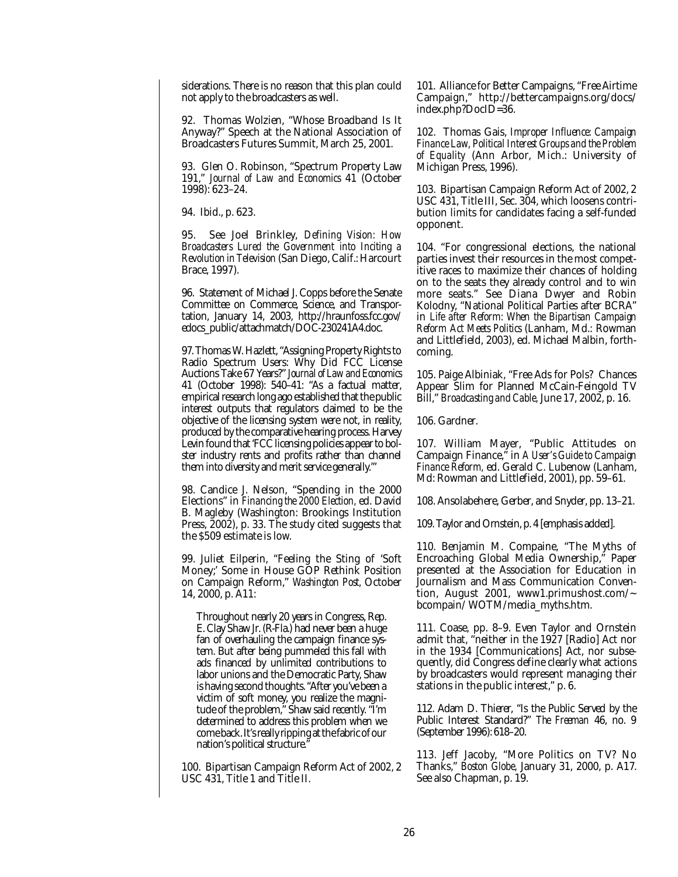siderations. There is no reason that this plan could not apply to the broadcasters as well.

92. Thomas Wolzien, "Whose Broadband Is It Anyway?" Speech at the National Association of Broadcasters Futures Summit, March 25, 2001.

93. Glen O. Robinson, "Spectrum Property Law 191," *Journal of Law and Economics* 41 (October 1998): 623–24.

94. Ibid., p. 623.

95. See Joel Brinkley, *Defining Vision: How Broadcasters Lured the Government into Inciting a Revolution in Television* (San Diego, Calif.: Harcourt Brace, 1997).

96. Statement of Michael J. Copps before the Senate Committee on Commerce, Science, and Transportation, January 14, 2003, http://hraunfoss.fcc.gov/ edocs\_public/attachmatch/DOC-230241A4.doc.

97. Thomas W. Hazlett, "Assigning Property Rights to Radio Spectrum Users: Why Did FCC License Auctions Take 67 Years?" *Journal of Law and Economics* 41 (October 1998): 540–41: "As a factual matter, empirical research long ago established that the public interest outputs that regulators claimed to be the objective of the licensing system were not, in reality, produced by the comparative hearing process. Harvey Levin found that 'FCC licensing policies appear to bolster industry rents and profits rather than channel them into diversity and merit service generally.'"

98. Candice J. Nelson, "Spending in the 2000 Elections" in *Financing the 2000 Election,* ed. David B. Magleby (Washington: Brookings Institution Press, 2002), p. 33. The study cited suggests that the \$509 estimate is low.

99. Juliet Eilperin, "Feeling the Sting of 'Soft Money;' Some in House GOP Rethink Position on Campaign Reform," *Washington Post,* October 14, 2000, p. A11:

Throughout nearly 20 years in Congress, Rep. E. Clay Shaw Jr. (R-Fla.) had never been a huge fan of overhauling the campaign finance system. But after being pummeled this fall with ads financed by unlimited contributions to labor unions and the Democratic Party, Shaw is having second thoughts. "After you've been a victim of soft money, you realize the magnitude of the problem," Shaw said recently. "I'm determined to address this problem when we come back. It's really ripping at the fabric of our nation's political structure."

100. Bipartisan Campaign Reform Act of 2002, 2 USC 431, Title 1 and Title II.

101. Alliance for Better Campaigns, "Free Airtime Campaign," http://bettercampaigns.org/docs/ index.php?DocID=36.

102. Thomas Gais, *Improper Influence: Campaign Finance Law, Political Interest Groups and the Problem of Equality* (Ann Arbor, Mich.: University of Michigan Press, 1996).

103. Bipartisan Campaign Reform Act of 2002, 2 USC 431, Title III, Sec. 304, which loosens contribution limits for candidates facing a self-funded opponent.

104. "For congressional elections, the national parties invest their resources in the most competitive races to maximize their chances of holding on to the seats they already control and to win more seats." See Diana Dwyer and Robin Kolodny, "National Political Parties after BCRA" in *Life after Reform: When the Bipartisan Campaign Reform Act Meets Politics* (Lanham, Md.: Rowman and Littlefield, 2003), ed. Michael Malbin, forthcoming.

105. Paige Albiniak, "Free Ads for Pols? Chances Appear Slim for Planned McCain-Feingold TV Bill," *Broadcasting and Cable,* June 17, 2002, p. 16.

106. Gardner.

107. William Mayer, "Public Attitudes on Campaign Finance," in *A User's Guide to Campaign Finance Reform,* ed. Gerald C. Lubenow (Lanham, Md: Rowman and Littlefield, 2001), pp. 59–61.

108. Ansolabehere, Gerber, and Snyder, pp. 13–21.

109. Taylor and Ornstein, p. 4 [emphasis added].

110. Benjamin M. Compaine, "The Myths of Encroaching Global Media Ownership," Paper presented at the Association for Education in Journalism and Mass Communication Convention, August 2001, www1.primushost.com/~ bcompain/ WOTM/media\_myths.htm.

111. Coase, pp. 8–9. Even Taylor and Ornstein admit that, "neither in the 1927 [Radio] Act nor in the 1934 [Communications] Act, nor subsequently, did Congress define clearly what actions by broadcasters would represent managing their stations in the public interest," p. 6.

112. Adam D. Thierer, "Is the Public Served by the Public Interest Standard?" *The Freeman* 46, no. 9 (September 1996): 618–20.

113. Jeff Jacoby, "More Politics on TV? No Thanks," *Boston Globe,* January 31, 2000, p. A17. See also Chapman, p. 19.